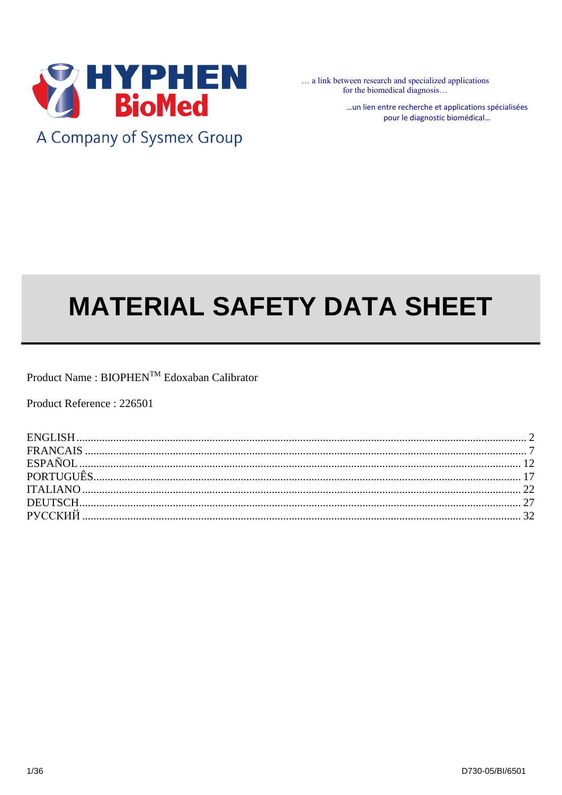

A Company of Sysmex Group

... a link between research and specialized applications for the biomedical diagnosis...

> ... un lien entre recherche et applications spécialisées pour le diagnostic biomédical...

# **MATERIAL SAFETY DATA SHEET**

Product Name : BIOPHEN™ Edoxaban Calibrator

Product Reference: 226501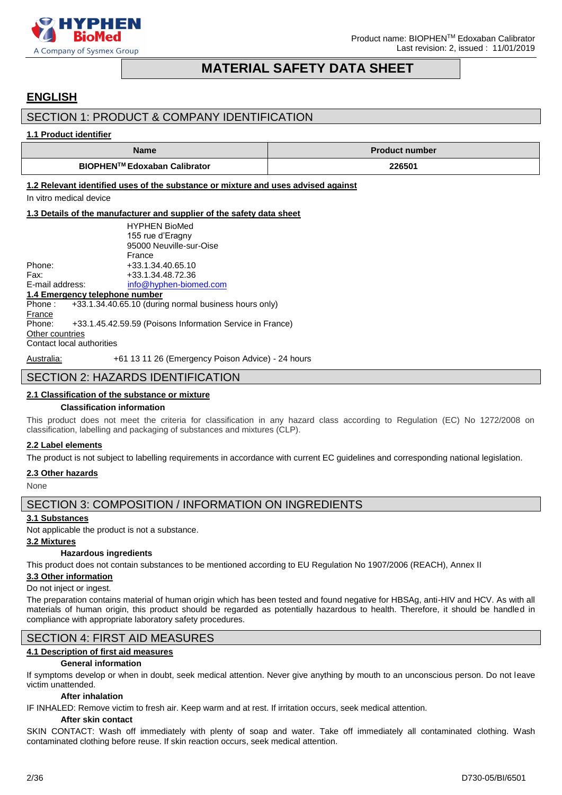

# **MATERIAL SAFETY DATA SHEET**

# <span id="page-1-0"></span>**ENGLISH**

# SECTION 1: PRODUCT & COMPANY IDENTIFICATION

#### **1.1 Product identifier**

| <b>Name</b>                         | <b>Product number</b> |
|-------------------------------------|-----------------------|
| <b>BIOPHEN™ Edoxaban Calibrator</b> | 226501                |

**1.2 Relevant identified uses of the substance or mixture and uses advised against**

In vitro medical device

#### **1.3 Details of the manufacturer and supplier of the safety data sheet**

|                           | <b>HYPHEN BioMed</b>                                           |
|---------------------------|----------------------------------------------------------------|
|                           | 155 rue d'Eragny                                               |
|                           | 95000 Neuville-sur-Oise                                        |
|                           | France                                                         |
| Phone:                    | +33.1.34.40.65.10                                              |
| Fax:                      | +33.1.34.48.72.36                                              |
| E-mail address:           | info@hyphen-biomed.com                                         |
|                           | 1.4 Emergency telephone number                                 |
|                           | Phone: $+33.1.34.40.65.10$ (during normal business hours only) |
| France                    |                                                                |
| Phone:                    | +33.1.45.42.59.59 (Poisons Information Service in France)      |
| Other countries           |                                                                |
| Contact local authorities |                                                                |
|                           |                                                                |

Australia: +61 13 11 26 (Emergency Poison Advice) - 24 hours

# SECTION 2: HAZARDS IDENTIFICATION

# **2.1 Classification of the substance or mixture**

#### **Classification information**

This product does not meet the criteria for classification in any hazard class according to Regulation (EC) No 1272/2008 on classification, labelling and packaging of substances and mixtures (CLP).

#### **2.2 Label elements**

The product is not subject to labelling requirements in accordance with current EC guidelines and corresponding national legislation.

#### **2.3 Other hazards**

None

# SECTION 3: COMPOSITION / INFORMATION ON INGREDIENTS

#### **3.1 Substances**

Not applicable the product is not a substance.

#### **3.2 Mixtures**

#### **Hazardous ingredients**

This product does not contain substances to be mentioned according to EU Regulation No 1907/2006 (REACH), Annex II

#### **3.3 Other information**

#### Do not inject or ingest.

The preparation contains material of human origin which has been tested and found negative for HBSAg, anti-HIV and HCV. As with all materials of human origin, this product should be regarded as potentially hazardous to health. Therefore, it should be handled in compliance with appropriate laboratory safety procedures.

# SECTION 4: FIRST AID MEASURES

#### **4.1 Description of first aid measures**

#### **General information**

If symptoms develop or when in doubt, seek medical attention. Never give anything by mouth to an unconscious person. Do not leave victim unattended.

#### **After inhalation**

IF INHALED: Remove victim to fresh air. Keep warm and at rest. If irritation occurs, seek medical attention.

### **After skin contact**

SKIN CONTACT: Wash off immediately with plenty of soap and water. Take off immediately all contaminated clothing. Wash contaminated clothing before reuse. If skin reaction occurs, seek medical attention.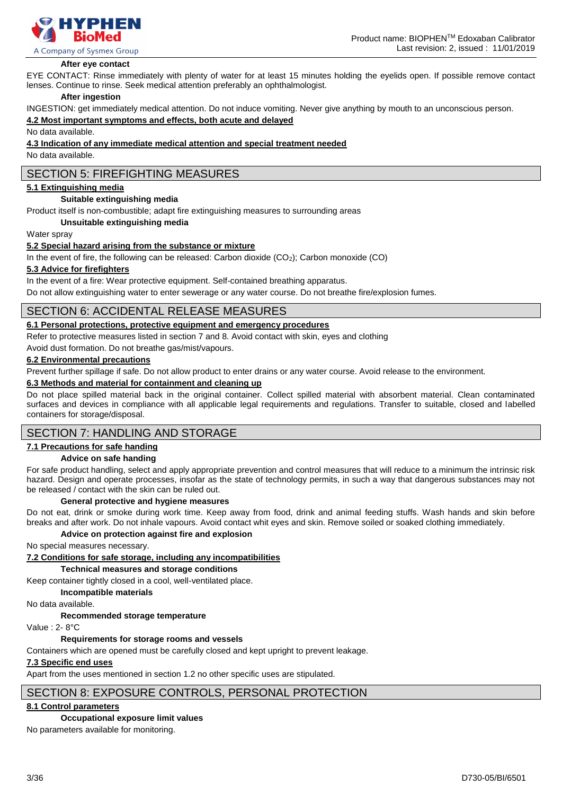

#### **After eye contact**

EYE CONTACT: Rinse immediately with plenty of water for at least 15 minutes holding the eyelids open. If possible remove contact lenses. Continue to rinse. Seek medical attention preferably an ophthalmologist.

#### **After ingestion**

INGESTION: get immediately medical attention. Do not induce vomiting. Never give anything by mouth to an unconscious person.

#### **4.2 Most important symptoms and effects, both acute and delayed**

No data available.

#### **4.3 Indication of any immediate medical attention and special treatment needed**

No data available.

# SECTION 5: FIREFIGHTING MEASURES

#### **5.1 Extinguishing media**

#### **Suitable extinguishing media**

Product itself is non-combustible; adapt fire extinguishing measures to surrounding areas

#### **Unsuitable extinguishing media**

Water spray

#### **5.2 Special hazard arising from the substance or mixture**

In the event of fire, the following can be released: Carbon dioxide (CO<sub>2</sub>); Carbon monoxide (CO)

#### **5.3 Advice for firefighters**

In the event of a fire: Wear protective equipment. Self-contained breathing apparatus.

Do not allow extinguishing water to enter sewerage or any water course. Do not breathe fire/explosion fumes.

# SECTION 6: ACCIDENTAL RELEASE MEASURES

### **6.1 Personal protections, protective equipment and emergency procedures**

Refer to protective measures listed in section 7 and 8. Avoid contact with skin, eyes and clothing

Avoid dust formation. Do not breathe gas/mist/vapours.

#### **6.2 Environmental precautions**

Prevent further spillage if safe. Do not allow product to enter drains or any water course. Avoid release to the environment.

#### **6.3 Methods and material for containment and cleaning up**

Do not place spilled material back in the original container. Collect spilled material with absorbent material. Clean contaminated surfaces and devices in compliance with all applicable legal requirements and regulations. Transfer to suitable, closed and labelled containers for storage/disposal.

# SECTION 7: HANDLING AND STORAGE

#### **7.1 Precautions for safe handing**

#### **Advice on safe handing**

For safe product handling, select and apply appropriate prevention and control measures that will reduce to a minimum the intrinsic risk hazard. Design and operate processes, insofar as the state of technology permits, in such a way that dangerous substances may not be released / contact with the skin can be ruled out.

#### **General protective and hygiene measures**

Do not eat, drink or smoke during work time. Keep away from food, drink and animal feeding stuffs. Wash hands and skin before breaks and after work. Do not inhale vapours. Avoid contact whit eyes and skin. Remove soiled or soaked clothing immediately.

#### **Advice on protection against fire and explosion**

No special measures necessary.

**7.2 Conditions for safe storage, including any incompatibilities**

**Technical measures and storage conditions**

Keep container tightly closed in a cool, well-ventilated place.

**Incompatible materials**

No data available.

**Recommended storage temperature**

Value : 2- 8°C

#### **Requirements for storage rooms and vessels**

Containers which are opened must be carefully closed and kept upright to prevent leakage.

#### **7.3 Specific end uses**

Apart from the uses mentioned in section 1.2 no other specific uses are stipulated.

### SECTION 8: EXPOSURE CONTROLS, PERSONAL PROTECTION

#### **8.1 Control parameters**

**Occupational exposure limit values** 

No parameters available for monitoring.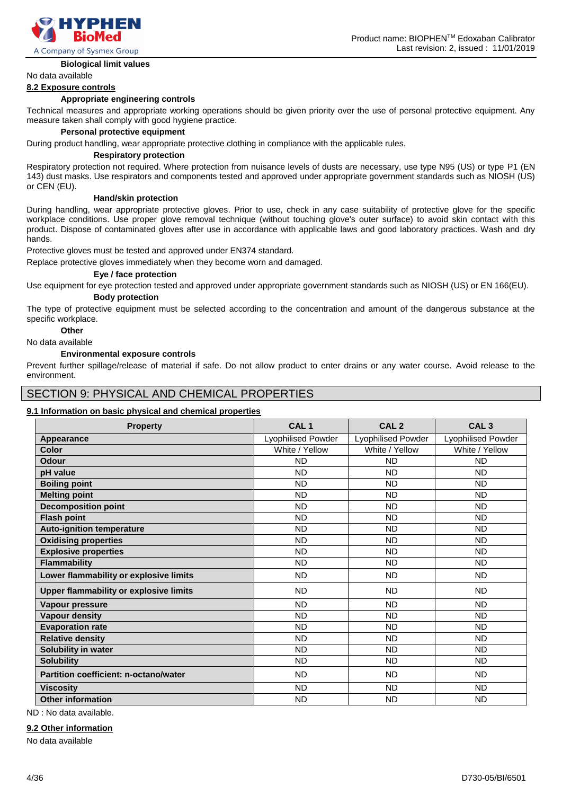

#### **Biological limit values**

No data available

#### **8.2 Exposure controls**

#### **Appropriate engineering controls**

Technical measures and appropriate working operations should be given priority over the use of personal protective equipment. Any measure taken shall comply with good hygiene practice.

#### **Personal protective equipment**

During product handling, wear appropriate protective clothing in compliance with the applicable rules.

#### **Respiratory protection**

Respiratory protection not required. Where protection from nuisance levels of dusts are necessary, use type N95 (US) or type P1 (EN 143) dust masks. Use respirators and components tested and approved under appropriate government standards such as NIOSH (US) or CEN (EU).

#### **Hand/skin protection**

During handling, wear appropriate protective gloves. Prior to use, check in any case suitability of protective glove for the specific workplace conditions. Use proper glove removal technique (without touching glove's outer surface) to avoid skin contact with this product. Dispose of contaminated gloves after use in accordance with applicable laws and good laboratory practices. Wash and dry hands.

Protective gloves must be tested and approved under EN374 standard.

Replace protective gloves immediately when they become worn and damaged.

#### **Eye / face protection**

Use equipment for eye protection tested and approved under appropriate government standards such as NIOSH (US) or EN 166(EU). **Body protection**

The type of protective equipment must be selected according to the concentration and amount of the dangerous substance at the specific workplace.

# **Other**

No data available

#### **Environmental exposure controls**

Prevent further spillage/release of material if safe. Do not allow product to enter drains or any water course. Avoid release to the environment.

### SECTION 9: PHYSICAL AND CHEMICAL PROPERTIES

#### **9.1 Information on basic physical and chemical properties**

| <b>Property</b>                               | CAL <sub>1</sub>          | CAL <sub>2</sub>          | CAL <sub>3</sub>          |
|-----------------------------------------------|---------------------------|---------------------------|---------------------------|
| Appearance                                    | <b>Lyophilised Powder</b> | <b>Lyophilised Powder</b> | <b>Lyophilised Powder</b> |
| Color                                         | White / Yellow            | White / Yellow            | White / Yellow            |
| Odour                                         | <b>ND</b>                 | <b>ND</b>                 | <b>ND</b>                 |
| pH value                                      | <b>ND</b>                 | <b>ND</b>                 | <b>ND</b>                 |
| <b>Boiling point</b>                          | <b>ND</b>                 | <b>ND</b>                 | <b>ND</b>                 |
| <b>Melting point</b>                          | <b>ND</b>                 | <b>ND</b>                 | <b>ND</b>                 |
| <b>Decomposition point</b>                    | <b>ND</b>                 | <b>ND</b>                 | <b>ND</b>                 |
| <b>Flash point</b>                            | <b>ND</b>                 | <b>ND</b>                 | <b>ND</b>                 |
| <b>Auto-ignition temperature</b>              | <b>ND</b>                 | <b>ND</b>                 | <b>ND</b>                 |
| <b>Oxidising properties</b>                   | <b>ND</b>                 | <b>ND</b>                 | <b>ND</b>                 |
| <b>Explosive properties</b>                   | <b>ND</b>                 | <b>ND</b>                 | <b>ND</b>                 |
| <b>Flammability</b>                           | <b>ND</b>                 | <b>ND</b>                 | <b>ND</b>                 |
| Lower flammability or explosive limits        | <b>ND</b>                 | <b>ND</b>                 | <b>ND</b>                 |
| <b>Upper flammability or explosive limits</b> | <b>ND</b>                 | <b>ND</b>                 | <b>ND</b>                 |
| Vapour pressure                               | <b>ND</b>                 | <b>ND</b>                 | <b>ND</b>                 |
| <b>Vapour density</b>                         | <b>ND</b>                 | <b>ND</b>                 | <b>ND</b>                 |
| <b>Evaporation rate</b>                       | <b>ND</b>                 | <b>ND</b>                 | <b>ND</b>                 |
| <b>Relative density</b>                       | <b>ND</b>                 | <b>ND</b>                 | <b>ND</b>                 |
| Solubility in water                           | <b>ND</b>                 | <b>ND</b>                 | <b>ND</b>                 |
| <b>Solubility</b>                             | <b>ND</b>                 | <b>ND</b>                 | <b>ND</b>                 |
| <b>Partition coefficient: n-octano/water</b>  | <b>ND</b>                 | <b>ND</b>                 | <b>ND</b>                 |
| <b>Viscosity</b>                              | <b>ND</b>                 | <b>ND</b>                 | <b>ND</b>                 |
| <b>Other information</b>                      | <b>ND</b>                 | <b>ND</b>                 | <b>ND</b>                 |

ND : No data available.

#### **9.2 Other information**

No data available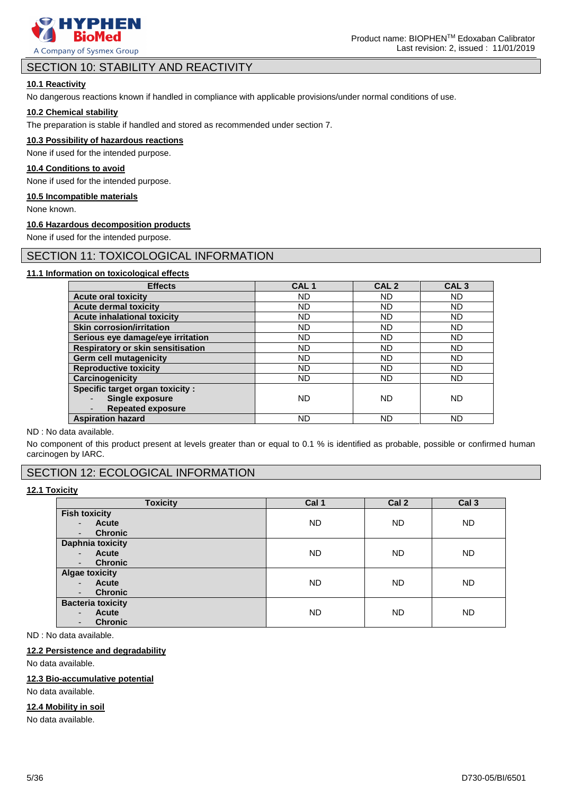

# SECTION 10: STABILITY AND REACTIVITY

#### **10.1 Reactivity**

No dangerous reactions known if handled in compliance with applicable provisions/under normal conditions of use.

### **10.2 Chemical stability**

The preparation is stable if handled and stored as recommended under section 7.

#### **10.3 Possibility of hazardous reactions**

None if used for the intended purpose.

#### **10.4 Conditions to avoid**

None if used for the intended purpose.

#### **10.5 Incompatible materials**

None known.

#### **10.6 Hazardous decomposition products**

None if used for the intended purpose.

# SECTION 11: TOXICOLOGICAL INFORMATION

### **11.1 Information on toxicological effects**

| <b>Effects</b>                           | CAL <sub>1</sub> | CAL <sub>2</sub> | CAL <sub>3</sub> |
|------------------------------------------|------------------|------------------|------------------|
| <b>Acute oral toxicity</b>               | <b>ND</b>        | <b>ND</b>        | <b>ND</b>        |
| <b>Acute dermal toxicity</b>             | <b>ND</b>        | ND               | <b>ND</b>        |
| <b>Acute inhalational toxicity</b>       | <b>ND</b>        | <b>ND</b>        | <b>ND</b>        |
| <b>Skin corrosion/irritation</b>         | <b>ND</b>        | ND               | ND.              |
| Serious eye damage/eye irritation        | <b>ND</b>        | <b>ND</b>        | <b>ND</b>        |
| <b>Respiratory or skin sensitisation</b> | <b>ND</b>        | ND               | ND               |
| <b>Germ cell mutagenicity</b>            | <b>ND</b>        | <b>ND</b>        | <b>ND</b>        |
| <b>Reproductive toxicity</b>             | <b>ND</b>        | <b>ND</b>        | ND.              |
| Carcinogenicity                          | <b>ND</b>        | <b>ND</b>        | <b>ND</b>        |
| <b>Specific target organ toxicity:</b>   |                  |                  |                  |
| Single exposure                          | <b>ND</b>        | <b>ND</b>        | <b>ND</b>        |
| <b>Repeated exposure</b>                 |                  |                  |                  |
| <b>Aspiration hazard</b>                 | <b>ND</b>        | ND               | ND               |

ND : No data available.

No component of this product present at levels greater than or equal to 0.1 % is identified as probable, possible or confirmed human carcinogen by IARC.

# SECTION 12: ECOLOGICAL INFORMATION

# **12.1 Toxicity**

| <b>Toxicity</b>                                                                                          | Cal 1     | Cal 2     | Cal <sub>3</sub> |
|----------------------------------------------------------------------------------------------------------|-----------|-----------|------------------|
| <b>Fish toxicity</b>                                                                                     |           |           |                  |
| <b>Acute</b><br>$\overline{\phantom{a}}$<br><b>Chronic</b>                                               | <b>ND</b> | <b>ND</b> | <b>ND</b>        |
| $\overline{\phantom{a}}$<br><b>Daphnia toxicity</b>                                                      |           |           |                  |
| Acute<br>$\overline{\phantom{a}}$                                                                        | <b>ND</b> | <b>ND</b> | ND.              |
| <b>Chronic</b><br>$\overline{\phantom{a}}$                                                               |           |           |                  |
| <b>Algae toxicity</b><br><b>Acute</b><br>$\blacksquare$<br><b>Chronic</b><br>٠                           | <b>ND</b> | <b>ND</b> | ND.              |
| <b>Bacteria toxicity</b><br><b>Acute</b><br>$\blacksquare$<br><b>Chronic</b><br>$\overline{\phantom{a}}$ | <b>ND</b> | <b>ND</b> | <b>ND</b>        |

ND : No data available.

#### **12.2 Persistence and degradability**

No data available.

### **12.3 Bio-accumulative potential**

No data available.

# **12.4 Mobility in soil**

No data available.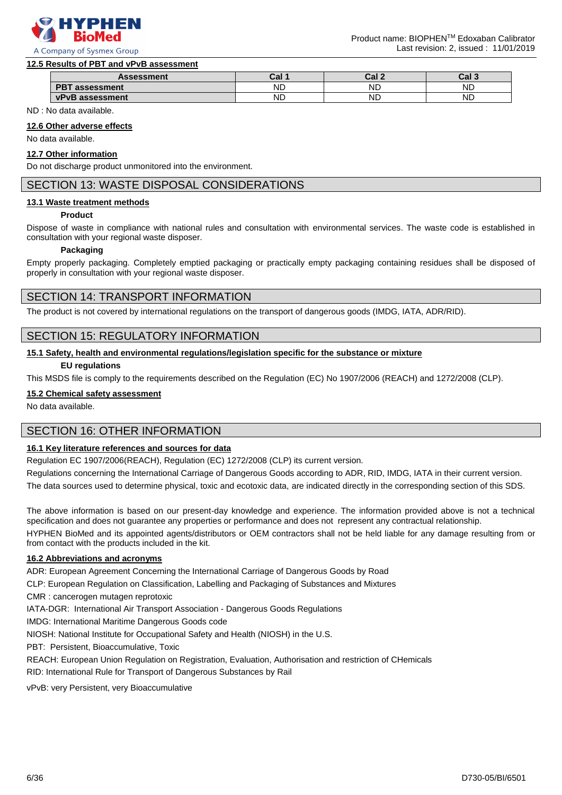

#### **12.5 Results of PBT and vPvB assessment**

| <b>Assessment</b>                  | והח<br>⊍di | . . I     | Cal 3     |
|------------------------------------|------------|-----------|-----------|
| <b>DDT</b><br>essment              | <b>ND</b>  | <b>ND</b> | ND        |
| <b>vPvB</b><br><b>assessment</b> : | <b>ND</b>  | <b>ND</b> | <b>ND</b> |

ND : No data available.

#### **12.6 Other adverse effects**

No data available.

#### **12.7 Other information**

Do not discharge product unmonitored into the environment.

# SECTION 13: WASTE DISPOSAL CONSIDERATIONS

#### **13.1 Waste treatment methods**

#### **Product**

Dispose of waste in compliance with national rules and consultation with environmental services. The waste code is established in consultation with your regional waste disposer.

#### **Packaging**

Empty properly packaging. Completely emptied packaging or practically empty packaging containing residues shall be disposed of properly in consultation with your regional waste disposer.

### SECTION 14: TRANSPORT INFORMATION

The product is not covered by international regulations on the transport of dangerous goods (IMDG, IATA, ADR/RID).

### SECTION 15: REGULATORY INFORMATION

#### **15.1 Safety, health and environmental regulations/legislation specific for the substance or mixture**

#### **EU regulations**

This MSDS file is comply to the requirements described on the Regulation (EC) No 1907/2006 (REACH) and 1272/2008 (CLP).

#### **15.2 Chemical safety assessment**

No data available.

# SECTION 16: OTHER INFORMATION

#### **16.1 Key literature references and sources for data**

Regulation EC 1907/2006(REACH), Regulation (EC) 1272/2008 (CLP) its current version.

Regulations concerning the International Carriage of Dangerous Goods according to ADR, RID, IMDG, IATA in their current version.

The data sources used to determine physical, toxic and ecotoxic data, are indicated directly in the corresponding section of this SDS.

The above information is based on our present-day knowledge and experience. The information provided above is not a technical specification and does not guarantee any properties or performance and does not represent any contractual relationship.

HYPHEN BioMed and its appointed agents/distributors or OEM contractors shall not be held liable for any damage resulting from or from contact with the products included in the kit.

#### **16.2 Abbreviations and acronyms**

ADR: European Agreement Concerning the International Carriage of Dangerous Goods by Road

CLP: European Regulation on Classification, Labelling and Packaging of Substances and Mixtures

CMR : cancerogen mutagen reprotoxic

IATA-DGR: International Air Transport Association - Dangerous Goods Regulations

IMDG: International Maritime Dangerous Goods code

NIOSH: National Institute for Occupational Safety and Health (NIOSH) in the U.S.

PBT: Persistent, Bioaccumulative, Toxic

REACH: European Union Regulation on Registration, Evaluation, Authorisation and restriction of CHemicals

RID: International Rule for Transport of Dangerous Substances by Rail

vPvB: very Persistent, very Bioaccumulative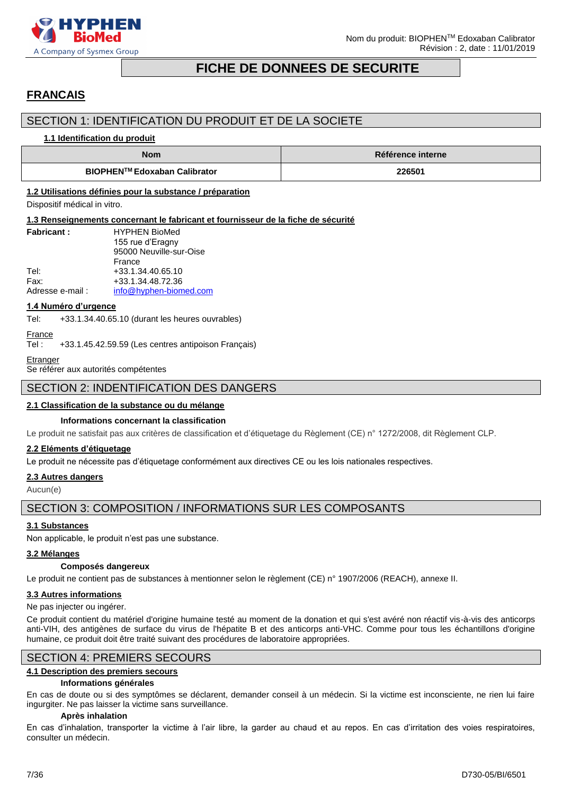

# **FICHE DE DONNEES DE SECURITE**

# <span id="page-6-0"></span>**FRANCAIS**

# SECTION 1: IDENTIFICATION DU PRODUIT ET DE LA SOCIETE

#### **1.1 Identification du produit**

| <b>Nom</b>                   | Référence interne |
|------------------------------|-------------------|
| BIOPHEN™ Edoxaban Calibrator | 226501            |

#### **1.2 Utilisations définies pour la substance / préparation**

Dispositif médical in vitro.

#### **1.3 Renseignements concernant le fabricant et fournisseur de la fiche de sécurité**

| <b>Fabricant:</b> | <b>HYPHEN BioMed</b>    |
|-------------------|-------------------------|
|                   | 155 rue d'Eragny        |
|                   | 95000 Neuville-sur-Oise |
|                   | France                  |
| Tel:              | +33.1.34.40.65.10       |
| Fax:              | +33.1.34.48.72.36       |
| Adresse e-mail:   | info@hyphen-biomed.com  |

#### **1.4 Numéro d'urgence**

Tel: +33.1.34.40.65.10 (durant les heures ouvrables)

```
France
```
Tel : +33.1.45.42.59.59 (Les centres antipoison Français)

```
Etranger
```
Se référer aux autorités compétentes

# SECTION 2: INDENTIFICATION DES DANGERS

#### **2.1 Classification de la substance ou du mélange**

#### **Informations concernant la classification**

Le produit ne satisfait pas aux critères de classification et d'étiquetage du Règlement (CE) n° 1272/2008, dit Règlement CLP.

#### **2.2 Eléments d'étiquetage**

Le produit ne nécessite pas d'étiquetage conformément aux directives CE ou les lois nationales respectives.

# **2.3 Autres dangers**

Aucun(e)

# SECTION 3: COMPOSITION / INFORMATIONS SUR LES COMPOSANTS

#### **3.1 Substances**

Non applicable, le produit n'est pas une substance.

#### **3.2 Mélanges**

#### **Composés dangereux**

Le produit ne contient pas de substances à mentionner selon le règlement (CE) n° 1907/2006 (REACH), annexe II.

### **3.3 Autres informations**

#### Ne pas injecter ou ingérer.

Ce produit contient du matériel d'origine humaine testé au moment de la donation et qui s'est avéré non réactif vis-à-vis des anticorps anti-VIH, des antigènes de surface du virus de l'hépatite B et des anticorps anti-VHC. Comme pour tous les échantillons d'origine humaine, ce produit doit être traité suivant des procédures de laboratoire appropriées.

# SECTION 4: PREMIERS SECOURS

#### **4.1 Description des premiers secours**

#### **Informations générales**

En cas de doute ou si des symptômes se déclarent, demander conseil à un médecin. Si la victime est inconsciente, ne rien lui faire ingurgiter. Ne pas laisser la victime sans surveillance.

#### **Après inhalation**

En cas d'inhalation, transporter la victime à l'air libre, la garder au chaud et au repos. En cas d'irritation des voies respiratoires, consulter un médecin.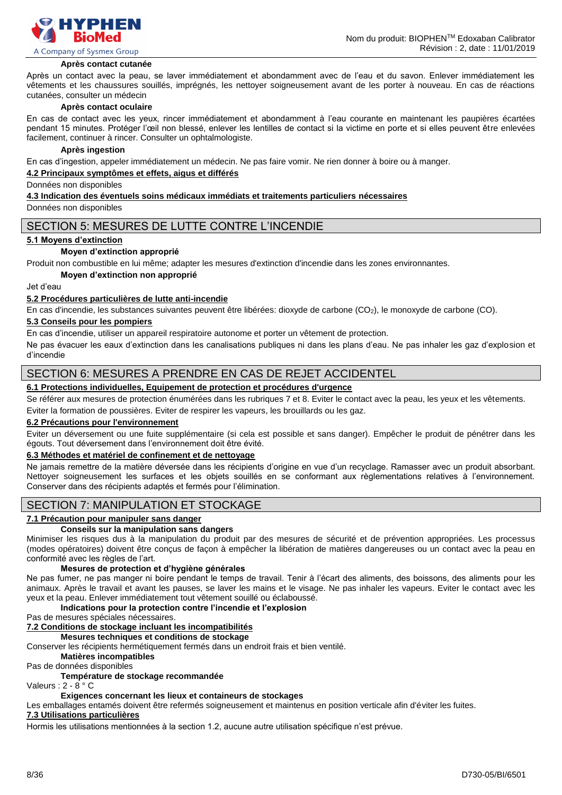

#### **Après contact cutanée**

Après un contact avec la peau, se laver immédiatement et abondamment avec de l'eau et du savon. Enlever immédiatement les vêtements et les chaussures souillés, imprégnés, les nettoyer soigneusement avant de les porter à nouveau. En cas de réactions cutanées, consulter un médecin

#### **Après contact oculaire**

En cas de contact avec les yeux, rincer immédiatement et abondamment à l'eau courante en maintenant les paupières écartées pendant 15 minutes. Protéger l'œil non blessé, enlever les lentilles de contact si la victime en porte et si elles peuvent être enlevées facilement, continuer à rincer. Consulter un ophtalmologiste.

#### **Après ingestion**

En cas d'ingestion, appeler immédiatement un médecin. Ne pas faire vomir. Ne rien donner à boire ou à manger.

#### **4.2 Principaux symptômes et effets, aigus et différés**

Données non disponibles

#### **4.3 Indication des éventuels soins médicaux immédiats et traitements particuliers nécessaires**

Données non disponibles

### SECTION 5: MESURES DE LUTTE CONTRE L'INCENDIE

#### **5.1 Moyens d'extinction**

#### **Moyen d'extinction approprié**

Produit non combustible en lui même; adapter les mesures d'extinction d'incendie dans les zones environnantes.

#### **Moyen d'extinction non approprié**

Jet d'eau

#### **5.2 Procédures particulières de lutte anti-incendie**

En cas d'incendie, les substances suivantes peuvent être libérées: dioxyde de carbone (CO2), le monoxyde de carbone (CO).

#### **5.3 Conseils pour les pompiers**

En cas d'incendie, utiliser un appareil respiratoire autonome et porter un vêtement de protection.

Ne pas évacuer les eaux d'extinction dans les canalisations publiques ni dans les plans d'eau. Ne pas inhaler les gaz d'explosion et d'incendie

### SECTION 6: MESURES A PRENDRE EN CAS DE REJET ACCIDENTEL

# **6.1 Protections individuelles, Equipement de protection et procédures d'urgence**

Se référer aux mesures de protection énumérées dans les rubriques 7 et 8. Eviter le contact avec la peau, les yeux et les vêtements. Eviter la formation de poussières. Eviter de respirer les vapeurs, les brouillards ou les gaz.

#### **6.2 Précautions pour l'environnement**

Eviter un déversement ou une fuite supplémentaire (si cela est possible et sans danger). Empêcher le produit de pénétrer dans les égouts. Tout déversement dans l'environnement doit être évité.

#### **6.3 Méthodes et matériel de confinement et de nettoyage**

Ne jamais remettre de la matière déversée dans les récipients d'origine en vue d'un recyclage. Ramasser avec un produit absorbant. Nettoyer soigneusement les surfaces et les objets souillés en se conformant aux règlementations relatives à l'environnement. Conserver dans des récipients adaptés et fermés pour l'élimination.

# SECTION 7: MANIPULATION ET STOCKAGE

#### **7.1 Précaution pour manipuler sans danger**

#### **Conseils sur la manipulation sans dangers**

Minimiser les risques dus à la manipulation du produit par des mesures de sécurité et de prévention appropriées. Les processus (modes opératoires) doivent être conçus de façon à empêcher la libération de matières dangereuses ou un contact avec la peau en conformité avec les règles de l'art.

#### **Mesures de protection et d'hygiène générales**

Ne pas fumer, ne pas manger ni boire pendant le temps de travail. Tenir à l'écart des aliments, des boissons, des aliments pour les animaux. Après le travail et avant les pauses, se laver les mains et le visage. Ne pas inhaler les vapeurs. Eviter le contact avec les yeux et la peau. Enlever immédiatement tout vêtement souillé ou éclaboussé.

#### **Indications pour la protection contre l'incendie et l'explosion**

Pas de mesures spéciales nécessaires.

#### **7.2 Conditions de stockage incluant les incompatibilités**

**Mesures techniques et conditions de stockage**

Conserver les récipients hermétiquement fermés dans un endroit frais et bien ventilé.

#### **Matières incompatibles**

Pas de données disponibles

#### **Température de stockage recommandée**

Valeurs : 2 - 8 ° C

#### **Exigences concernant les lieux et containeurs de stockages**

Les emballages entamés doivent être refermés soigneusement et maintenus en position verticale afin d'éviter les fuites.

#### **7.3 Utilisations particulières**

Hormis les utilisations mentionnées à la section 1.2, aucune autre utilisation spécifique n'est prévue.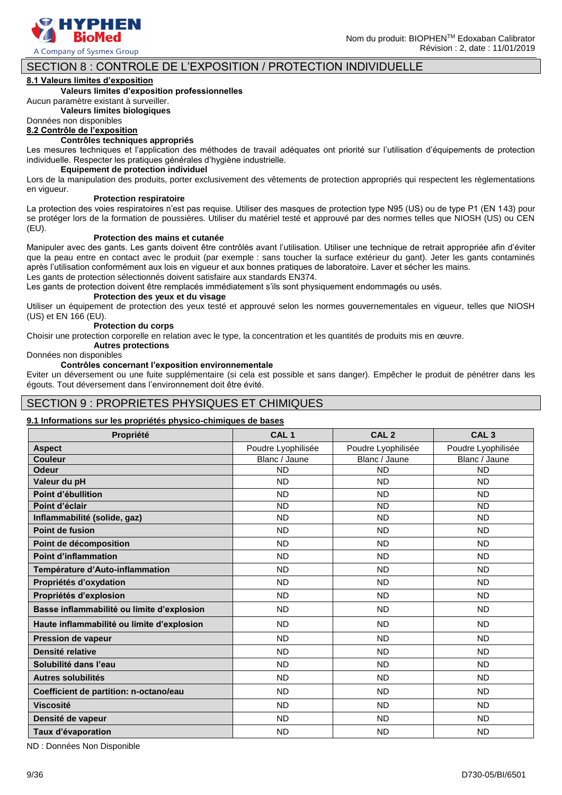

# SECTION 8 : CONTROLE DE L'EXPOSITION / PROTECTION INDIVIDUELLE

#### **8.1 Valeurs limites d'exposition**

#### **Valeurs limites d'exposition professionnelles**

Aucun paramètre existant à surveiller.

**Valeurs limites biologiques**

# Données non disponibles

**8.2 Contrôle de l'exposition**

#### **Contrôles techniques appropriés**

Les mesures techniques et l'application des méthodes de travail adéquates ont priorité sur l'utilisation d'équipements de protection individuelle. Respecter les pratiques générales d'hygiène industrielle.

#### **Equipement de protection individuel**

Lors de la manipulation des produits, porter exclusivement des vêtements de protection appropriés qui respectent les règlementations en vigueur.

#### **Protection respiratoire**

La protection des voies respiratoires n'est pas requise. Utiliser des masques de protection type N95 (US) ou de type P1 (EN 143) pour se protéger lors de la formation de poussières. Utiliser du matériel testé et approuvé par des normes telles que NIOSH (US) ou CEN (EU).

#### **Protection des mains et cutanée**

Manipuler avec des gants. Les gants doivent être contrôlés avant l'utilisation. Utiliser une technique de retrait appropriée afin d'éviter que la peau entre en contact avec le produit (par exemple : sans toucher la surface extérieur du gant). Jeter les gants contaminés après l'utilisation conformément aux lois en vigueur et aux bonnes pratiques de laboratoire. Laver et sécher les mains. Les gants de protection sélectionnés doivent satisfaire aux standards EN374.

Les gants de protection doivent être remplacés immédiatement s'ils sont physiquement endommagés ou usés.

#### **Protection des yeux et du visage**

Utiliser un équipement de protection des yeux testé et approuvé selon les normes gouvernementales en vigueur, telles que NIOSH (US) et EN 166 (EU).

#### **Protection du corps**

Choisir une protection corporelle en relation avec le type, la concentration et les quantités de produits mis en œuvre.

# **Autres protections**

### Données non disponibles

#### **Contrôles concernant l'exposition environnementale**

Eviter un déversement ou une fuite supplémentaire (si cela est possible et sans danger). Empêcher le produit de pénétrer dans les égouts. Tout déversement dans l'environnement doit être évité.

# SECTION 9 : PROPRIETES PHYSIQUES ET CHIMIQUES

#### **9.1 Informations sur les propriétés physico-chimiques de bases**

| Propriété                                  | CAL <sub>1</sub>   | CAL <sub>2</sub>   | CAL <sub>3</sub>   |
|--------------------------------------------|--------------------|--------------------|--------------------|
| <b>Aspect</b>                              | Poudre Lyophilisée | Poudre Lyophilisée | Poudre Lyophilisée |
| <b>Couleur</b>                             | Blanc / Jaune      | Blanc / Jaune      | Blanc / Jaune      |
| <b>Odeur</b>                               | <b>ND</b>          | <b>ND</b>          | <b>ND</b>          |
| Valeur du pH                               | <b>ND</b>          | <b>ND</b>          | <b>ND</b>          |
| Point d'ébullition                         | <b>ND</b>          | <b>ND</b>          | <b>ND</b>          |
| Point d'éclair                             | <b>ND</b>          | <b>ND</b>          | <b>ND</b>          |
| Inflammabilité (solide, gaz)               | <b>ND</b>          | <b>ND</b>          | <b>ND</b>          |
| Point de fusion                            | <b>ND</b>          | <b>ND</b>          | <b>ND</b>          |
| Point de décomposition                     | <b>ND</b>          | <b>ND</b>          | <b>ND</b>          |
| <b>Point d'inflammation</b>                | <b>ND</b>          | <b>ND</b>          | <b>ND</b>          |
| Température d'Auto-inflammation            | <b>ND</b>          | <b>ND</b>          | <b>ND</b>          |
| Propriétés d'oxydation                     | <b>ND</b>          | <b>ND</b>          | <b>ND</b>          |
| Propriétés d'explosion                     | <b>ND</b>          | <b>ND</b>          | <b>ND</b>          |
| Basse inflammabilité ou limite d'explosion | <b>ND</b>          | <b>ND</b>          | <b>ND</b>          |
| Haute inflammabilité ou limite d'explosion | <b>ND</b>          | <b>ND</b>          | <b>ND</b>          |
| <b>Pression de vapeur</b>                  | <b>ND</b>          | <b>ND</b>          | <b>ND</b>          |
| Densité relative                           | <b>ND</b>          | <b>ND</b>          | <b>ND</b>          |
| Solubilité dans l'eau                      | <b>ND</b>          | <b>ND</b>          | <b>ND</b>          |
| Autres solubilités                         | <b>ND</b>          | <b>ND</b>          | <b>ND</b>          |
| Coefficient de partition: n-octano/eau     | <b>ND</b>          | <b>ND</b>          | <b>ND</b>          |
| <b>Viscosité</b>                           | <b>ND</b>          | <b>ND</b>          | <b>ND</b>          |
| Densité de vapeur                          | <b>ND</b>          | <b>ND</b>          | <b>ND</b>          |
| Taux d'évaporation                         | <b>ND</b>          | <b>ND</b>          | <b>ND</b>          |

ND : Données Non Disponible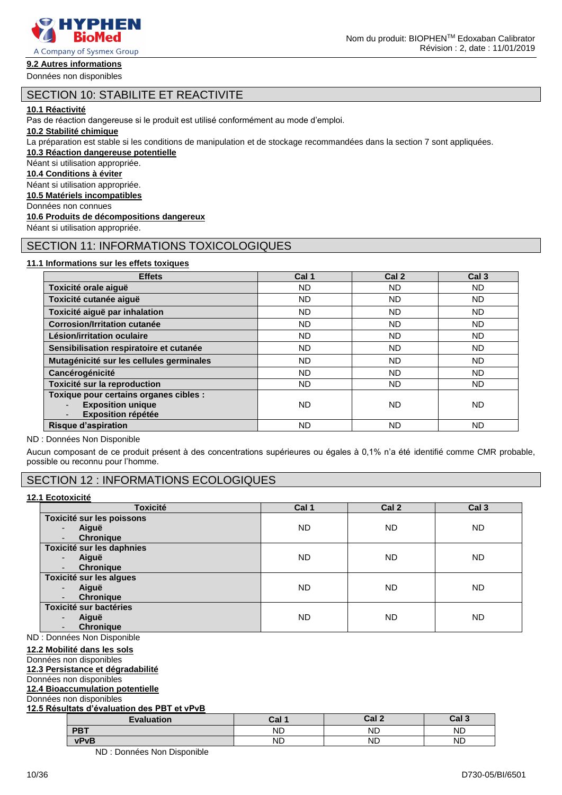

# **9.2 Autres informations**

# SECTION 10: STABILITE ET REACTIVITE

#### **10.1 Réactivité**

Pas de réaction dangereuse si le produit est utilisé conformément au mode d'emploi.

#### **10.2 Stabilité chimique**

La préparation est stable si les conditions de manipulation et de stockage recommandées dans la section 7 sont appliquées.

**10.3 Réaction dangereuse potentielle**

# Néant si utilisation appropriée.

**10.4 Conditions à éviter**

Néant si utilisation appropriée.

**10.5 Matériels incompatibles**

Données non connues

### **10.6 Produits de décompositions dangereux**

Néant si utilisation appropriée.

# SECTION 11: INFORMATIONS TOXICOLOGIQUES

#### **11.1 Informations sur les effets toxiques**

| <b>Effets</b>                                                                                   | Cal 1     | Cal <sub>2</sub> | Cal <sub>3</sub> |
|-------------------------------------------------------------------------------------------------|-----------|------------------|------------------|
| Toxicité orale aiguë                                                                            | ND.       | ND.              | ND               |
| Toxicité cutanée aiguë                                                                          | <b>ND</b> | <b>ND</b>        | ND.              |
| Toxicité aiguë par inhalation                                                                   | ND        | <b>ND</b>        | ND.              |
| <b>Corrosion/Irritation cutanée</b>                                                             | ND        | <b>ND</b>        | <b>ND</b>        |
| Lésion/irritation oculaire                                                                      | ND        | <b>ND</b>        | ND               |
| Sensibilisation respiratoire et cutanée                                                         | ND        | <b>ND</b>        | ND.              |
| Mutagénicité sur les cellules germinales                                                        | ND        | ND               | ND.              |
| Cancérogénicité                                                                                 | ND        | <b>ND</b>        | ND               |
| Toxicité sur la reproduction                                                                    | ND        | <b>ND</b>        | ND               |
| Toxique pour certains organes cibles :<br><b>Exposition unique</b><br><b>Exposition répétée</b> | ND        | ND.              | ND               |
| <b>Risque d'aspiration</b>                                                                      | ND        | ND               | ND               |

#### ND : Données Non Disponible

Aucun composant de ce produit présent à des concentrations supérieures ou égales à 0,1% n'a été identifié comme CMR probable, possible ou reconnu pour l'homme.

# SECTION 12 : INFORMATIONS ECOLOGIQUES

#### **12.1 Ecotoxicité**

| <b>Toxicité</b>                   | Cal 1     | Cal <sub>2</sub> | Cal <sub>3</sub> |
|-----------------------------------|-----------|------------------|------------------|
| Toxicité sur les poissons         |           |                  |                  |
| Aiguë<br>$\overline{\phantom{0}}$ | <b>ND</b> | <b>ND</b>        | <b>ND</b>        |
| <b>Chronique</b>                  |           |                  |                  |
| Toxicité sur les daphnies         |           |                  |                  |
| Aiguë<br>$\overline{\phantom{a}}$ | <b>ND</b> | <b>ND</b>        | <b>ND</b>        |
| <b>Chronique</b>                  |           |                  |                  |
| Toxicité sur les algues           |           |                  |                  |
| Aiguë<br>$\overline{\phantom{a}}$ | <b>ND</b> | <b>ND</b>        | <b>ND</b>        |
| <b>Chronique</b>                  |           |                  |                  |
| Toxicité sur bactéries            |           |                  |                  |
| Aiguë<br>$\overline{\phantom{0}}$ | <b>ND</b> | <b>ND</b>        | <b>ND</b>        |
| <b>Chronique</b>                  |           |                  |                  |

ND : Données Non Disponible

#### **12.2 Mobilité dans les sols**

Données non disponibles

#### **12.3 Persistance et dégradabilité**

Données non disponibles

# **12.4 Bioaccumulation potentielle**

Données non disponibles

| 12.5 Résultats d'évaluation des PBT et vPvB |                   |           |       |                  |  |
|---------------------------------------------|-------------------|-----------|-------|------------------|--|
|                                             | <b>Evaluation</b> | Cal 1     | Cal 2 | Cal <sub>3</sub> |  |
|                                             | <b>PBT</b>        | <b>ND</b> | ND    | <b>ND</b>        |  |
|                                             | <b>vPvB</b>       | ND        | ND    | <b>ND</b>        |  |

ND : Données Non Disponible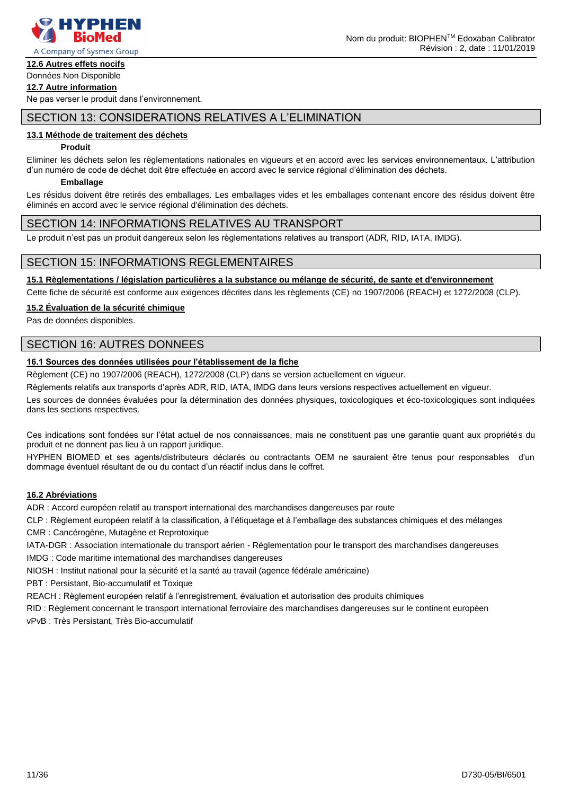

#### **12.6 Autres effets nocifs** Données Non Disponible

# **12.7 Autre information**

Ne pas verser le produit dans l'environnement.

# SECTION 13: CONSIDERATIONS RELATIVES A L'ELIMINATION

#### **13.1 Méthode de traitement des déchets**

#### **Produit**

Eliminer les déchets selon les règlementations nationales en vigueurs et en accord avec les services environnementaux. L'attribution d'un numéro de code de déchet doit être effectuée en accord avec le service régional d'élimination des déchets.

#### **Emballage**

Les résidus doivent être retirés des emballages. Les emballages vides et les emballages contenant encore des résidus doivent être éliminés en accord avec le service régional d'élimination des déchets.

### SECTION 14: INFORMATIONS RELATIVES AU TRANSPORT

Le produit n'est pas un produit dangereux selon les règlementations relatives au transport (ADR, RID, IATA, IMDG).

# SECTION 15: INFORMATIONS REGLEMENTAIRES

**15.1 Règlementations / législation particulières a la substance ou mélange de sécurité, de sante et d'environnement**

Cette fiche de sécurité est conforme aux exigences décrites dans les règlements (CE) no 1907/2006 (REACH) et 1272/2008 (CLP).

#### **15.2 Évaluation de la sécurité chimique**

Pas de données disponibles.

# SECTION 16: AUTRES DONNEES

# **16.1 Sources des données utilisées pour l'établissement de la fiche**

Règlement (CE) no 1907/2006 (REACH), 1272/2008 (CLP) dans se version actuellement en vigueur.

Règlements relatifs aux transports d'après ADR, RID, IATA, IMDG dans leurs versions respectives actuellement en vigueur.

Les sources de données évaluées pour la détermination des données physiques, toxicologiques et éco-toxicologiques sont indiquées dans les sections respectives.

Ces indications sont fondées sur l'état actuel de nos connaissances, mais ne constituent pas une garantie quant aux propriétés du produit et ne donnent pas lieu à un rapport juridique.

HYPHEN BIOMED et ses agents/distributeurs déclarés ou contractants OEM ne sauraient être tenus pour responsables d'un dommage éventuel résultant de ou du contact d'un réactif inclus dans le coffret.

#### **16.2 Abréviations**

ADR : Accord européen relatif au transport international des marchandises dangereuses par route

CLP : Règlement européen relatif à la classification, à l'étiquetage et à l'emballage des substances chimiques et des mélanges

CMR : Cancérogène, Mutagène et Reprotoxique

IATA-DGR : Association internationale du transport aérien - Réglementation pour le transport des marchandises dangereuses IMDG : Code maritime international des marchandises dangereuses

NIOSH : Institut national pour la sécurité et la santé au travail (agence fédérale américaine)

PBT : Persistant, Bio-accumulatif et Toxique

REACH : Règlement européen relatif à l'enregistrement, évaluation et autorisation des produits chimiques

RID : Règlement concernant le transport international ferroviaire des marchandises dangereuses sur le continent européen

vPvB : Très Persistant, Très Bio-accumulatif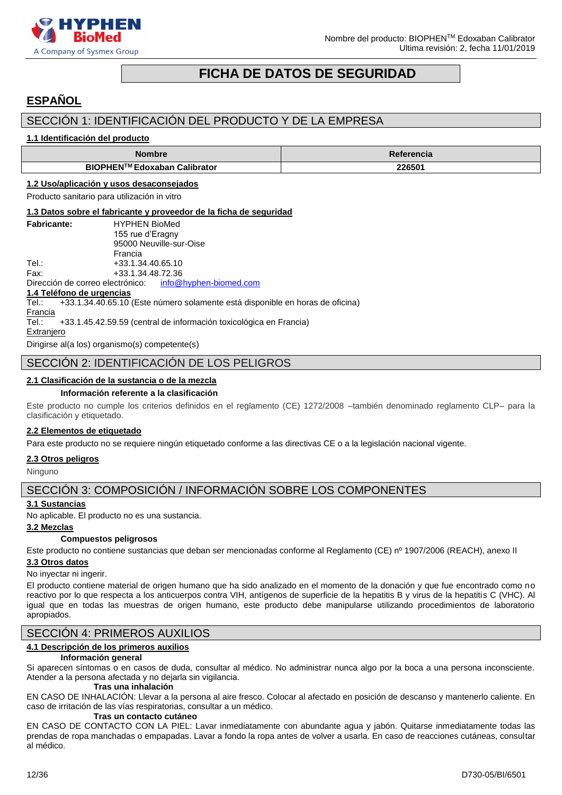

# **FICHA DE DATOS DE SEGURIDAD**

# <span id="page-11-0"></span>**ESPAÑOL**

# SECCIÓN 1: IDENTIFICACIÓN DEL PRODUCTO Y DE LA EMPRESA

#### **1.1 Identificación del producto**

| Nombre                       | Referencia |
|------------------------------|------------|
| BIOPHEN™ Edoxaban Calibrator | 226501     |

#### **1.2 Uso/aplicación y usos desaconsejados**

Producto sanitario para utilización in vitro

#### **1.3 Datos sobre el fabricante y proveedor de la ficha de seguridad**

| <b>Fabricante:</b> | <b>HYPHEN BioMed</b>    |
|--------------------|-------------------------|
|                    | 155 rue d'Eragny        |
|                    | 95000 Neuville-sur-Oise |
|                    | Francia                 |
| Tel∴               | +33.1.34.40.65.10       |
| Fax:               | +33.1.34.48.72.36       |
|                    |                         |

Dirección de correo electrónico: [info@hyphen-biomed.com](mailto:info@hyphen-biomed.com)

#### **1.4 Teléfono de urgencias**

Tel.: +33.1.34.40.65.10 (Este número solamente está disponible en horas de oficina)

Francia

Tel.: +33.1.45.42.59.59 (central de información toxicológica en Francia)

#### Extraniero

Dirigirse al(a los) organismo(s) competente(s)

# SECCIÓN 2: IDENTIFICACIÓN DE LOS PELIGROS

# **2.1 Clasificación de la sustancia o de la mezcla**

#### **Información referente a la clasificación**

Este producto no cumple los criterios definidos en el reglamento (CE) 1272/2008 –también denominado reglamento CLP– para la clasificación y etiquetado.

#### **2.2 Elementos de etiquetado**

Para este producto no se requiere ningún etiquetado conforme a las directivas CE o a la legislación nacional vigente.

#### **2.3 Otros peligros**

Ninguno

# SECCIÓN 3: COMPOSICIÓN / INFORMACIÓN SOBRE LOS COMPONENTES

# **3.1 Sustancias**

No aplicable. El producto no es una sustancia.

#### **3.2 Mezclas**

#### **Compuestos peligrosos**

Este producto no contiene sustancias que deban ser mencionadas conforme al Reglamento (CE) nº 1907/2006 (REACH), anexo II **3.3 Otros datos**

# No inyectar ni ingerir.

El producto contiene material de origen humano que ha sido analizado en el momento de la donación y que fue encontrado como no reactivo por lo que respecta a los anticuerpos contra VIH, antígenos de superficie de la hepatitis B y virus de la hepatitis C (VHC). Al igual que en todas las muestras de origen humano, este producto debe manipularse utilizando procedimientos de laboratorio apropiados.

# SECCIÓN 4: PRIMEROS AUXILIOS

# **4.1 Descripción de los primeros auxilios**

#### **Información general**

Si aparecen síntomas o en casos de duda, consultar al médico. No administrar nunca algo por la boca a una persona inconsciente. Atender a la persona afectada y no dejarla sin vigilancia.

#### **Tras una inhalación**

EN CASO DE INHALACIÓN: Llevar a la persona al aire fresco. Colocar al afectado en posición de descanso y mantenerlo caliente. En caso de irritación de las vías respiratorias, consultar a un médico.

#### **Tras un contacto cutáneo**

EN CASO DE CONTACTO CON LA PIEL: Lavar inmediatamente con abundante agua y jabón. Quitarse inmediatamente todas las prendas de ropa manchadas o empapadas. Lavar a fondo la ropa antes de volver a usarla. En caso de reacciones cutáneas, consultar al médico.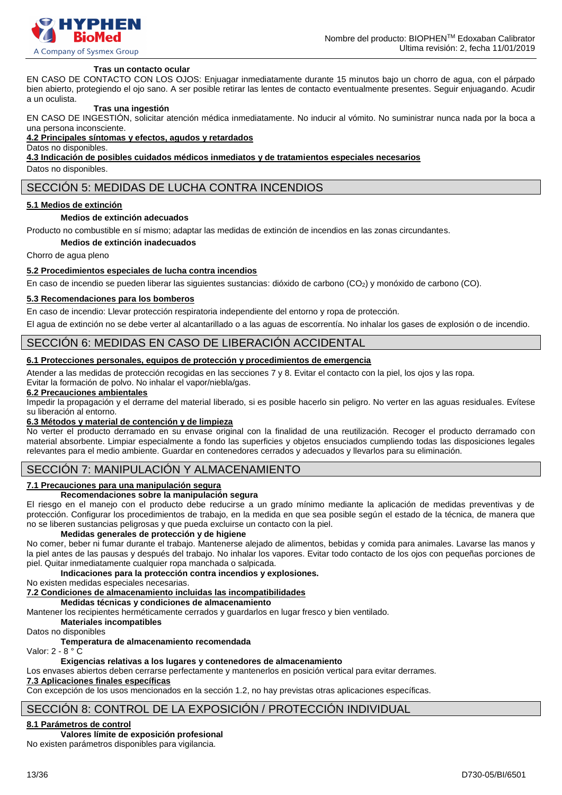

#### **Tras un contacto ocular**

EN CASO DE CONTACTO CON LOS OJOS: Enjuagar inmediatamente durante 15 minutos bajo un chorro de agua, con el párpado bien abierto, protegiendo el ojo sano. A ser posible retirar las lentes de contacto eventualmente presentes. Seguir enjuagando. Acudir a un oculista.

#### **Tras una ingestión**

EN CASO DE INGESTIÓN, solicitar atención médica inmediatamente. No inducir al vómito. No suministrar nunca nada por la boca a una persona inconsciente.

#### **4.2 Principales síntomas y efectos, agudos y retardados**

Datos no disponibles.

**4.3 Indicación de posibles cuidados médicos inmediatos y de tratamientos especiales necesarios**

Datos no disponibles.

# SECCIÓN 5: MEDIDAS DE LUCHA CONTRA INCENDIOS

#### **5.1 Medios de extinción**

#### **Medios de extinción adecuados**

Producto no combustible en sí mismo; adaptar las medidas de extinción de incendios en las zonas circundantes.

**Medios de extinción inadecuados**

Chorro de agua pleno

#### **5.2 Procedimientos especiales de lucha contra incendios**

En caso de incendio se pueden liberar las siguientes sustancias: dióxido de carbono (CO<sub>2</sub>) y monóxido de carbono (CO).

#### **5.3 Recomendaciones para los bomberos**

En caso de incendio: Llevar protección respiratoria independiente del entorno y ropa de protección.

El agua de extinción no se debe verter al alcantarillado o a las aguas de escorrentía. No inhalar los gases de explosión o de incendio.

### SECCIÓN 6: MEDIDAS EN CASO DE LIBERACIÓN ACCIDENTAL

#### **6.1 Protecciones personales, equipos de protección y procedimientos de emergencia**

Atender a las medidas de protección recogidas en las secciones 7 y 8. Evitar el contacto con la piel, los ojos y las ropa. Evitar la formación de polvo. No inhalar el vapor/niebla/gas.

#### **6.2 Precauciones ambientales**

Impedir la propagación y el derrame del material liberado, si es posible hacerlo sin peligro. No verter en las aguas residuales. Evítese su liberación al entorno.

#### **6.3 Métodos y material de contención y de limpieza**

No verter el producto derramado en su envase original con la finalidad de una reutilización. Recoger el producto derramado con material absorbente. Limpiar especialmente a fondo las superficies y objetos ensuciados cumpliendo todas las disposiciones legales relevantes para el medio ambiente. Guardar en contenedores cerrados y adecuados y llevarlos para su eliminación.

# SECCIÓN 7: MANIPULACIÓN Y ALMACENAMIENTO

# **7.1 Precauciones para una manipulación segura**

#### **Recomendaciones sobre la manipulación segura**

El riesgo en el manejo con el producto debe reducirse a un grado mínimo mediante la aplicación de medidas preventivas y de protección. Configurar los procedimientos de trabajo, en la medida en que sea posible según el estado de la técnica, de manera que no se liberen sustancias peligrosas y que pueda excluirse un contacto con la piel.

#### **Medidas generales de protección y de higiene**

No comer, beber ni fumar durante el trabajo. Mantenerse alejado de alimentos, bebidas y comida para animales. Lavarse las manos y la piel antes de las pausas y después del trabajo. No inhalar los vapores. Evitar todo contacto de los ojos con pequeñas porciones de piel. Quitar inmediatamente cualquier ropa manchada o salpicada.

### **Indicaciones para la protección contra incendios y explosiones.**

No existen medidas especiales necesarias.

# **7.2 Condiciones de almacenamiento incluidas las incompatibilidades**

# **Medidas técnicas y condiciones de almacenamiento**

Mantener los recipientes herméticamente cerrados y guardarlos en lugar fresco y bien ventilado.

#### **Materiales incompatibles**

Datos no disponibles

#### **Temperatura de almacenamiento recomendada** Valor: 2 - 8 ° C

# **Exigencias relativas a los lugares y contenedores de almacenamiento**

Los envases abiertos deben cerrarse perfectamente y mantenerlos en posición vertical para evitar derrames.

# **7.3 Aplicaciones finales específicas**

Con excepción de los usos mencionados en la sección 1.2, no hay previstas otras aplicaciones específicas.

# SECCIÓN 8: CONTROL DE LA EXPOSICIÓN / PROTECCIÓN INDIVIDUAL

# **8.1 Parámetros de control**

**Valores límite de exposición profesional**

No existen parámetros disponibles para vigilancia.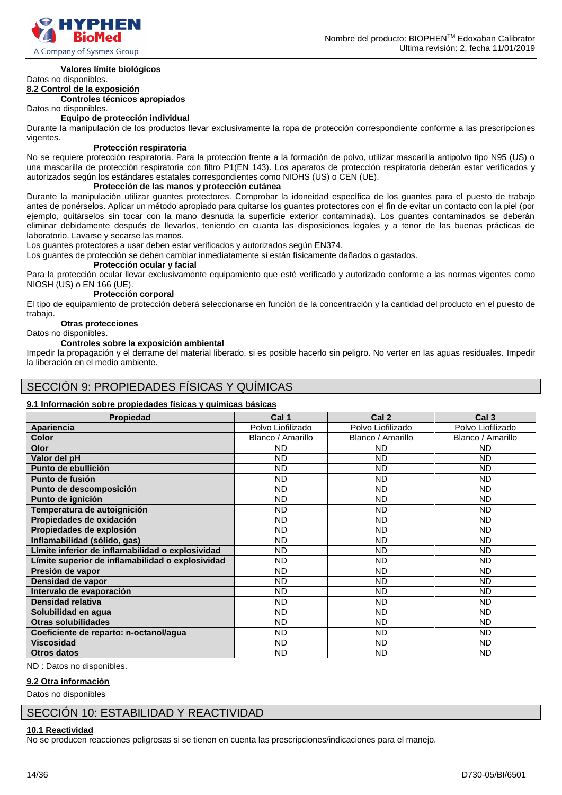

#### **Valores límite biológicos**

# Datos no disponibles.

**8.2 Control de la exposición**

**Controles técnicos apropiados** Datos no disponibles.

# **Equipo de protección individual**

Durante la manipulación de los productos llevar exclusivamente la ropa de protección correspondiente conforme a las prescripciones vigentes.

#### **Protección respiratoria**

No se requiere protección respiratoria. Para la protección frente a la formación de polvo, utilizar mascarilla antipolvo tipo N95 (US) o una mascarilla de protección respiratoria con filtro P1(EN 143). Los aparatos de protección respiratoria deberán estar verificados y autorizados según los estándares estatales correspondientes como NIOHS (US) o CEN (UE).

#### **Protección de las manos y protección cutánea**

Durante la manipulación utilizar guantes protectores. Comprobar la idoneidad específica de los guantes para el puesto de trabajo antes de ponérselos. Aplicar un método apropiado para quitarse los guantes protectores con el fin de evitar un contacto con la piel (por ejemplo, quitárselos sin tocar con la mano desnuda la superficie exterior contaminada). Los guantes contaminados se deberán eliminar debidamente después de llevarlos, teniendo en cuanta las disposiciones legales y a tenor de las buenas prácticas de laboratorio. Lavarse y secarse las manos.

Los guantes protectores a usar deben estar verificados y autorizados según EN374.

Los guantes de protección se deben cambiar inmediatamente si están físicamente dañados o gastados.

#### **Protección ocular y facial**

Para la protección ocular llevar exclusivamente equipamiento que esté verificado y autorizado conforme a las normas vigentes como NIOSH (US) o EN 166 (UE).

#### **Protección corporal**

El tipo de equipamiento de protección deberá seleccionarse en función de la concentración y la cantidad del producto en el puesto de trabajo.

#### **Otras protecciones**

Datos no disponibles.

#### **Controles sobre la exposición ambiental**

Impedir la propagación y el derrame del material liberado, si es posible hacerlo sin peligro. No verter en las aguas residuales. Impedir la liberación en el medio ambiente.

# SECCIÓN 9: PROPIEDADES FÍSICAS Y QUÍMICAS

#### **9.1 Información sobre propiedades físicas y químicas básicas**

| Propiedad                                        | Cal 1             | Cal <sub>2</sub>  | Cal <sub>3</sub>  |
|--------------------------------------------------|-------------------|-------------------|-------------------|
| Apariencia                                       | Polvo Liofilizado | Polvo Liofilizado | Polvo Liofilizado |
| <b>Color</b>                                     | Blanco / Amarillo | Blanco / Amarillo | Blanco / Amarillo |
| Olor                                             | <b>ND</b>         | <b>ND</b>         | ND.               |
| Valor del pH                                     | <b>ND</b>         | <b>ND</b>         | <b>ND</b>         |
| Punto de ebullición                              | <b>ND</b>         | <b>ND</b>         | <b>ND</b>         |
| Punto de fusión                                  | <b>ND</b>         | <b>ND</b>         | <b>ND</b>         |
| Punto de descomposición                          | <b>ND</b>         | <b>ND</b>         | <b>ND</b>         |
| Punto de ignición                                | <b>ND</b>         | <b>ND</b>         | <b>ND</b>         |
| Temperatura de autoignición                      | <b>ND</b>         | <b>ND</b>         | <b>ND</b>         |
| Propiedades de oxidación                         | <b>ND</b>         | <b>ND</b>         | <b>ND</b>         |
| Propiedades de explosión                         | <b>ND</b>         | <b>ND</b>         | <b>ND</b>         |
| Inflamabilidad (sólido, gas)                     | <b>ND</b>         | <b>ND</b>         | <b>ND</b>         |
| Límite inferior de inflamabilidad o explosividad | <b>ND</b>         | <b>ND</b>         | <b>ND</b>         |
| Límite superior de inflamabilidad o explosividad | <b>ND</b>         | <b>ND</b>         | <b>ND</b>         |
| Presión de vapor                                 | <b>ND</b>         | <b>ND</b>         | <b>ND</b>         |
| Densidad de vapor                                | <b>ND</b>         | <b>ND</b>         | <b>ND</b>         |
| Intervalo de evaporación                         | <b>ND</b>         | <b>ND</b>         | <b>ND</b>         |
| Densidad relativa                                | <b>ND</b>         | <b>ND</b>         | <b>ND</b>         |
| Solubilidad en agua                              | <b>ND</b>         | <b>ND</b>         | <b>ND</b>         |
| <b>Otras solubilidades</b>                       | <b>ND</b>         | <b>ND</b>         | <b>ND</b>         |
| Coeficiente de reparto: n-octanol/agua           | <b>ND</b>         | <b>ND</b>         | <b>ND</b>         |
| <b>Viscosidad</b>                                | <b>ND</b>         | <b>ND</b>         | <b>ND</b>         |
| <b>Otros datos</b>                               | <b>ND</b>         | <b>ND</b>         | <b>ND</b>         |

ND : Datos no disponibles.

#### **9.2 Otra información**

Datos no disponibles

# SECCIÓN 10: ESTABILIDAD Y REACTIVIDAD

#### **10.1 Reactividad**

No se producen reacciones peligrosas si se tienen en cuenta las prescripciones/indicaciones para el manejo.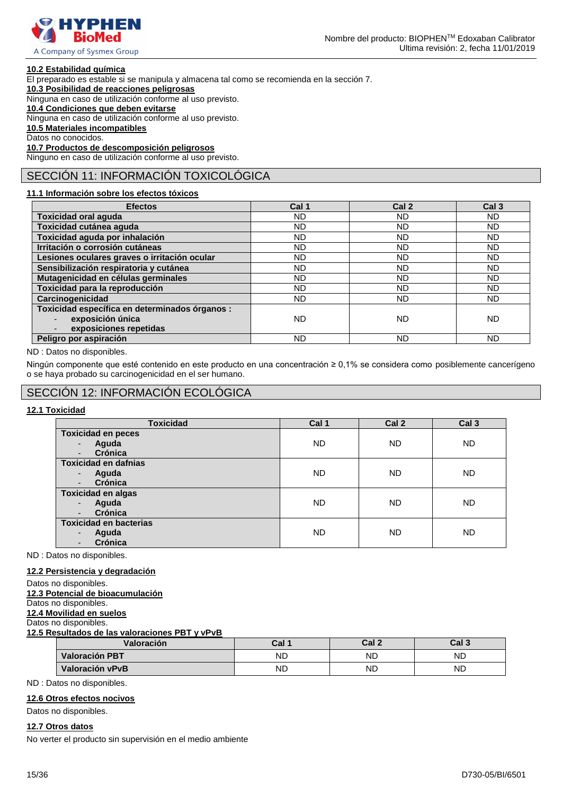

#### **10.2 Estabilidad química**

El preparado es estable si se manipula y almacena tal como se recomienda en la sección 7.

**10.3 Posibilidad de reacciones peligrosas**

Ninguna en caso de utilización conforme al uso previsto.

### **10.4 Condiciones que deben evitarse**

Ninguna en caso de utilización conforme al uso previsto.

**10.5 Materiales incompatibles**

Datos no conocidos.

**10.7 Productos de descomposición peligrosos** Ninguno en caso de utilización conforme al uso previsto.

# SECCIÓN 11: INFORMACIÓN TOXICOLÓGICA

### **11.1 Información sobre los efectos tóxicos**

| <b>Efectos</b>                                 | Cal 1     | Cal 2     | Cal <sub>3</sub> |
|------------------------------------------------|-----------|-----------|------------------|
| <b>Toxicidad oral aguda</b>                    | ND.       | <b>ND</b> | <b>ND</b>        |
| Toxicidad cutánea aguda                        | ND.       | ND.       | <b>ND</b>        |
| Toxicidad aguda por inhalación                 | ND        | <b>ND</b> | <b>ND</b>        |
| Irritación o corrosión cutáneas                | <b>ND</b> | <b>ND</b> | <b>ND</b>        |
| Lesiones oculares graves o irritación ocular   | ND.       | <b>ND</b> | <b>ND</b>        |
| Sensibilización respiratoria y cutánea         | ND        | <b>ND</b> | <b>ND</b>        |
| Mutagenicidad en células germinales            | ND.       | <b>ND</b> | <b>ND</b>        |
| Toxicidad para la reproducción                 | ND.       | <b>ND</b> | ND               |
| Carcinogenicidad                               | ND.       | <b>ND</b> | <b>ND</b>        |
| Toxicidad específica en determinados órganos : |           |           |                  |
| exposición única                               | <b>ND</b> | <b>ND</b> | ND               |
| exposiciones repetidas                         |           |           |                  |
| Peligro por aspiración                         | ND        | <b>ND</b> | <b>ND</b>        |

ND : Datos no disponibles.

Ningún componente que esté contenido en este producto en una concentración ≥ 0,1% se considera como posiblemente cancerígeno o se haya probado su carcinogenicidad en el ser humano.

# SECCIÓN 12: INFORMACIÓN ECOLÓGICA

# **12.1 Toxicidad**

| <b>Toxicidad</b>                    | Cal 1     | Cal <sub>2</sub> | Cal <sub>3</sub> |
|-------------------------------------|-----------|------------------|------------------|
| <b>Toxicidad en peces</b>           |           |                  |                  |
| Aguda<br>$\blacksquare$             | <b>ND</b> | <b>ND</b>        | <b>ND</b>        |
| Crónica<br>$\overline{\phantom{a}}$ |           |                  |                  |
| <b>Toxicidad en dafnias</b>         |           |                  |                  |
| Aguda<br>$\overline{\phantom{a}}$   | <b>ND</b> | <b>ND</b>        | <b>ND</b>        |
| Crónica<br>٠                        |           |                  |                  |
| <b>Toxicidad en algas</b>           |           |                  |                  |
| Aguda<br>$\overline{a}$             | <b>ND</b> | <b>ND</b>        | <b>ND</b>        |
| Crónica<br>٠                        |           |                  |                  |
| <b>Toxicidad en bacterias</b>       |           |                  |                  |
| Aguda<br>$\overline{\phantom{a}}$   | <b>ND</b> | <b>ND</b>        | <b>ND</b>        |
| Crónica<br>٠                        |           |                  |                  |

ND : Datos no disponibles.

#### **12.2 Persistencia y degradación**

- Datos no disponibles.
- **12.3 Potencial de bioacumulación**

Datos no disponibles.

# **12.4 Movilidad en suelos**

Datos no disponibles.

| 12.5 Resultados de las valoraciones PBT y vPvB |       |                  |                  |  |  |
|------------------------------------------------|-------|------------------|------------------|--|--|
| Valoración                                     | Cal 1 | Cal <sub>2</sub> | Cal <sub>3</sub> |  |  |
| Valoración PBT                                 | ND    | ND               | <b>ND</b>        |  |  |
| Valoración vPvB                                | ND    | ND               | <b>ND</b>        |  |  |

ND : Datos no disponibles.

#### **12.6 Otros efectos nocivos**

Datos no disponibles.

# **12.7 Otros datos**

No verter el producto sin supervisión en el medio ambiente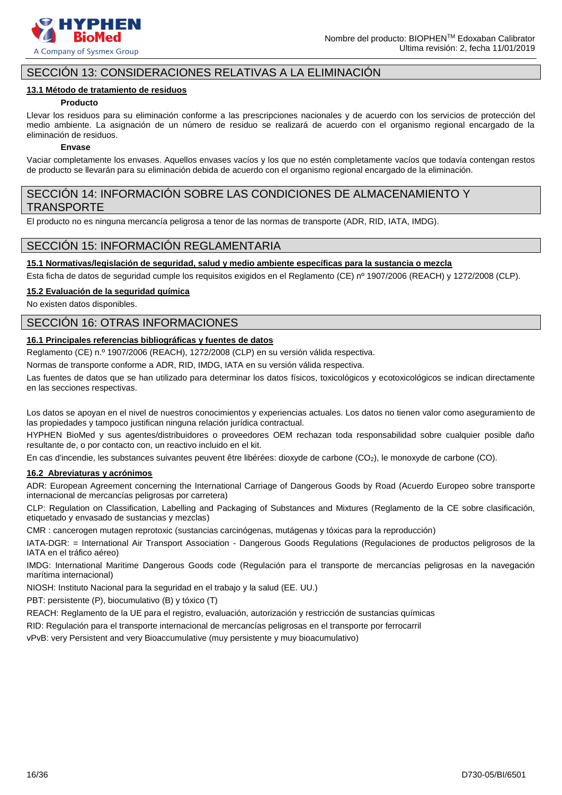

# SECCIÓN 13: CONSIDERACIONES RELATIVAS A LA ELIMINACIÓN

#### **13.1 Método de tratamiento de residuos**

#### **Producto**

Llevar los residuos para su eliminación conforme a las prescripciones nacionales y de acuerdo con los servicios de protección del medio ambiente. La asignación de un número de residuo se realizará de acuerdo con el organismo regional encargado de la eliminación de residuos.

#### **Envase**

Vaciar completamente los envases. Aquellos envases vacíos y los que no estén completamente vacíos que todavía contengan restos de producto se llevarán para su eliminación debida de acuerdo con el organismo regional encargado de la eliminación.

# SECCIÓN 14: INFORMACIÓN SOBRE LAS CONDICIONES DE ALMACENAMIENTO Y TRANSPORTE

El producto no es ninguna mercancía peligrosa a tenor de las normas de transporte (ADR, RID, IATA, IMDG).

# SECCIÓN 15: INFORMACIÓN REGLAMENTARIA

### **15.1 Normativas/legislación de seguridad, salud y medio ambiente específicas para la sustancia o mezcla**

Esta ficha de datos de seguridad cumple los requisitos exigidos en el Reglamento (CE) nº 1907/2006 (REACH) y 1272/2008 (CLP).

#### **15.2 Evaluación de la seguridad química**

No existen datos disponibles.

# SECCIÓN 16: OTRAS INFORMACIONES

#### **16.1 Principales referencias bibliográficas y fuentes de datos**

Reglamento (CE) n.º 1907/2006 (REACH), 1272/2008 (CLP) en su versión válida respectiva.

Normas de transporte conforme a ADR, RID, IMDG, IATA en su versión válida respectiva.

Las fuentes de datos que se han utilizado para determinar los datos físicos, toxicológicos y ecotoxicológicos se indican directamente en las secciones respectivas.

Los datos se apoyan en el nivel de nuestros conocimientos y experiencias actuales. Los datos no tienen valor como aseguramiento de las propiedades y tampoco justifican ninguna relación jurídica contractual.

HYPHEN BioMed y sus agentes/distribuidores o proveedores OEM rechazan toda responsabilidad sobre cualquier posible daño resultante de, o por contacto con, un reactivo incluido en el kit.

En cas d'incendie, les substances suivantes peuvent être libérées: dioxyde de carbone (CO2), le monoxyde de carbone (CO).

#### **16.2 Abreviaturas y acrónimos**

ADR: European Agreement concerning the International Carriage of Dangerous Goods by Road (Acuerdo Europeo sobre transporte internacional de mercancías peligrosas por carretera)

CLP: Regulation on Classification, Labelling and Packaging of Substances and Mixtures (Reglamento de la CE sobre clasificación, etiquetado y envasado de sustancias y mezclas)

CMR : cancerogen mutagen reprotoxic (sustancias carcinógenas, mutágenas y tóxicas para la reproducción)

IATA-DGR: = International Air Transport Association - Dangerous Goods Regulations (Regulaciones de productos peligrosos de la IATA en el tráfico aéreo)

IMDG: International Maritime Dangerous Goods code (Regulación para el transporte de mercancías peligrosas en la navegación marítima internacional)

NIOSH: Instituto Nacional para la seguridad en el trabajo y la salud (EE. UU.)

PBT: persistente (P), biocumulativo (B) y tóxico (T)

REACH: Reglamento de la UE para el registro, evaluación, autorización y restricción de sustancias químicas

RID: Regulación para el transporte internacional de mercancías peligrosas en el transporte por ferrocarril

vPvB: very Persistent and very Bioaccumulative (muy persistente y muy bioacumulativo)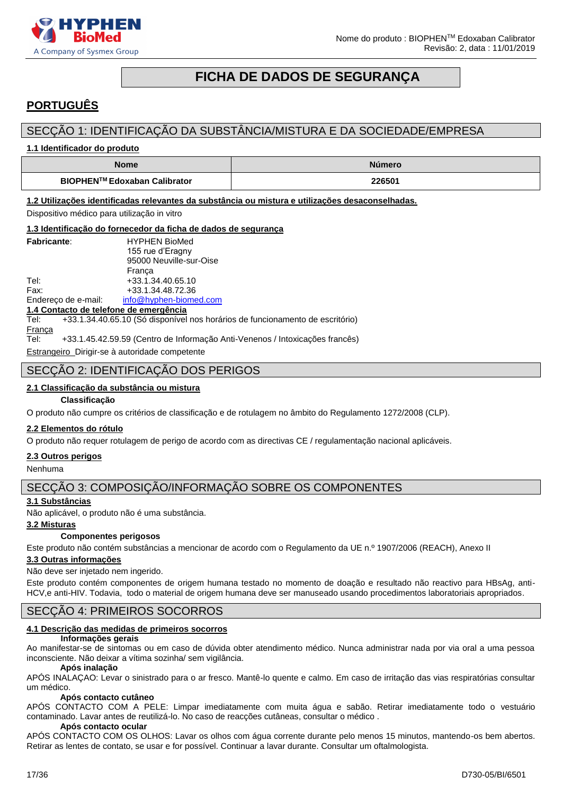

# **FICHA DE DADOS DE SEGURANÇA**

# <span id="page-16-0"></span>**PORTUGUÊS**

# SECÇÃO 1: IDENTIFICAÇÃO DA SUBSTÂNCIA/MISTURA E DA SOCIEDADE/EMPRESA

**1.1 Identificador do produto**

| <b>Nome</b>                  | <b>Número</b> |
|------------------------------|---------------|
| BIOPHEN™ Edoxaban Calibrator | 226501        |

**1.2 Utilizações identificadas relevantes da substância ou mistura e utilizações desaconselhadas.**

Dispositivo médico para utilização in vitro

**1.3 Identificação do fornecedor da ficha de dados de segurança**

|                                        | 1.5 Identificação do fornecedor da ficha de dados de segurançã                |
|----------------------------------------|-------------------------------------------------------------------------------|
| <b>Fabricante:</b>                     | <b>HYPHEN BioMed</b>                                                          |
|                                        | 155 rue d'Eragny                                                              |
|                                        | 95000 Neuville-sur-Oise                                                       |
|                                        | Franca                                                                        |
| Tel:                                   | +33.1.34.40.65.10                                                             |
| Fax:                                   | +33.1.34.48.72.36                                                             |
| Endereço de e-mail:                    | info@hyphen-biomed.com                                                        |
| 1.4 Contacto de telefone de emergência |                                                                               |
| Tel:                                   | +33.1.34.40.65.10 (Só disponível nos horários de funcionamento de escritório) |
| Franca                                 |                                                                               |

Tel: +33.1.45.42.59.59 (Centro de Informação Anti-Venenos / Intoxicações francês)

Estrangeiro Dirigir-se à autoridade competente

# SECÇÃO 2: IDENTIFICAÇÃO DOS PERIGOS

#### **2.1 Classificação da substância ou mistura**

#### **Classificação**

O produto não cumpre os critérios de classificação e de rotulagem no âmbito do Regulamento 1272/2008 (CLP).

#### **2.2 Elementos do rótulo**

O produto não requer rotulagem de perigo de acordo com as directivas CE / regulamentação nacional aplicáveis.

#### **2.3 Outros perigos**

Nenhuma

# SECÇÃO 3: COMPOSIÇÃO/INFORMAÇÃO SOBRE OS COMPONENTES

#### **3.1 Substâncias**

Não aplicável, o produto não é uma substância.

### **3.2 Misturas**

#### **Componentes perigosos**

Este produto não contém substâncias a mencionar de acordo com o Regulamento da UE n.º 1907/2006 (REACH), Anexo II

#### **3.3 Outras informações**

Não deve ser injetado nem ingerido.

Este produto contém componentes de origem humana testado no momento de doação e resultado não reactivo para HBsAg, anti-HCV,e anti-HIV. Todavia, todo o material de origem humana deve ser manuseado usando procedimentos laboratoriais apropriados.

# SECÇÃO 4: PRIMEIROS SOCORROS

#### **4.1 Descrição das medidas de primeiros socorros**

#### **Informações gerais**

Ao manifestar-se de sintomas ou em caso de dúvida obter atendimento médico. Nunca administrar nada por via oral a uma pessoa inconsciente. Não deixar a vítima sozinha/ sem vigilância.

#### **Após inalação**

APÓS INALAÇAO: Levar o sinistrado para o ar fresco. Mantê-lo quente e calmo. Em caso de irritação das vias respiratórias consultar um médico.

#### **Após contacto cutâneo**

APÓS CONTACTO COM A PELE: Limpar imediatamente com muita água e sabão. Retirar imediatamente todo o vestuário contaminado. Lavar antes de reutilizá-lo. No caso de reacções cutâneas, consultar o médico .

#### **Após contacto ocular**

APÓS CONTACTO COM OS OLHOS: Lavar os olhos com água corrente durante pelo menos 15 minutos, mantendo-os bem abertos. Retirar as lentes de contato, se usar e for possível. Continuar a lavar durante. Consultar um oftalmologista.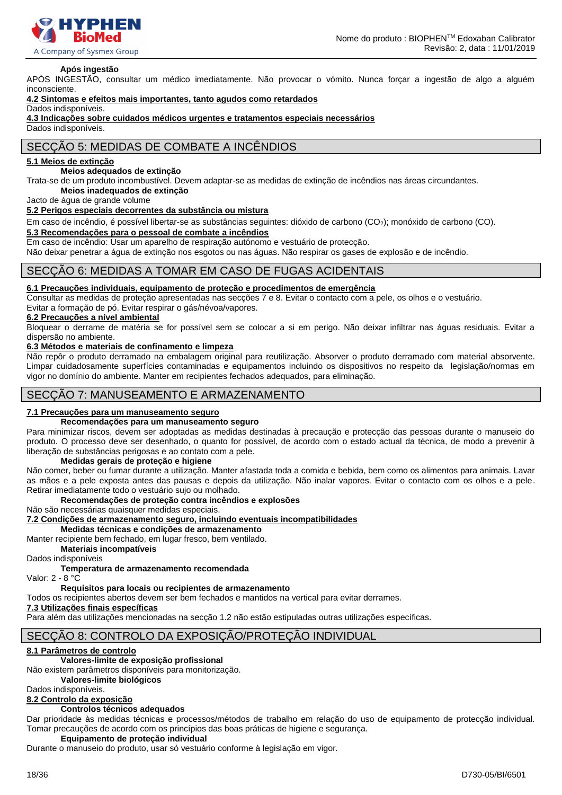

#### **Após ingestão**

APÓS INGESTÃO, consultar um médico imediatamente. Não provocar o vómito. Nunca forçar a ingestão de algo a alguém inconsciente.

**4.2 Sintomas e efeitos mais importantes, tanto agudos como retardados**

Dados indisponíveis.

**4.3 Indicações sobre cuidados médicos urgentes e tratamentos especiais necessários**

Dados indisponíveis.

# SECÇÃO 5: MEDIDAS DE COMBATE A INCÊNDIOS

#### **5.1 Meios de extinção**

#### **Meios adequados de extinção**

Trata-se de um produto incombustível. Devem adaptar-se as medidas de extinção de incêndios nas áreas circundantes. **Meios inadequados de extinção**

Jacto de água de grande volume

#### **5.2 Perigos especiais decorrentes da substância ou mistura**

Em caso de incêndio, é possível libertar-se as substâncias seguintes: dióxido de carbono (CO2); monóxido de carbono (CO).

#### **5.3 Recomendações para o pessoal de combate a incêndios**

Em caso de incêndio: Usar um aparelho de respiração autónomo e vestuário de protecção.

Não deixar penetrar a água de extinção nos esgotos ou nas águas. Não respirar os gases de explosão e de incêndio.

#### SECÇÃO 6: MEDIDAS A TOMAR EM CASO DE FUGAS ACIDENTAIS

#### **6.1 Precauções individuais, equipamento de proteção e procedimentos de emergência**

Consultar as medidas de proteção apresentadas nas secções 7 e 8. Evitar o contacto com a pele, os olhos e o vestuário. Evitar a formação de pó. Evitar respirar o gás/névoa/vapores.

#### **6.2 Precauções a nível ambiental**

Bloquear o derrame de matéria se for possível sem se colocar a si em perigo. Não deixar infiltrar nas águas residuais. Evitar a dispersão no ambiente.

#### **6.3 Métodos e materiais de confinamento e limpeza**

Não repôr o produto derramado na embalagem original para reutilização. Absorver o produto derramado com material absorvente. Limpar cuidadosamente superfícies contaminadas e equipamentos incluindo os dispositivos no respeito da legislação/normas em vigor no domínio do ambiente. Manter em recipientes fechados adequados, para eliminação.

### SECÇÃO 7: MANUSEAMENTO E ARMAZENAMENTO

#### **7.1 Precauções para um manuseamento seguro**

#### **Recomendações para um manuseamento seguro**

Para minimizar riscos, devem ser adoptadas as medidas destinadas à precaução e protecção das pessoas durante o manuseio do produto. O processo deve ser desenhado, o quanto for possível, de acordo com o estado actual da técnica, de modo a prevenir à liberação de substâncias perigosas e ao contato com a pele.

#### **Medidas gerais de proteção e higiene**

Não comer, beber ou fumar durante a utilização. Manter afastada toda a comida e bebida, bem como os alimentos para animais. Lavar as mãos e a pele exposta antes das pausas e depois da utilização. Não inalar vapores. Evitar o contacto com os olhos e a pele. Retirar imediatamente todo o vestuário sujo ou molhado.

#### **Recomendações de proteção contra incêndios e explosões**

Não são necessárias quaisquer medidas especiais.

**7.2 Condições de armazenamento seguro, incluindo eventuais incompatibilidades**

**Medidas técnicas e condições de armazenamento**

Manter recipiente bem fechado, em lugar fresco, bem ventilado.

**Materiais incompatíveis**

Dados indisponíveis

#### **Temperatura de armazenamento recomendada**

Valor: 2 - 8 °C

#### **Requisitos para locais ou recipientes de armazenamento**

Todos os recipientes abertos devem ser bem fechados e mantidos na vertical para evitar derrames.

#### **7.3 Utilizações finais específicas**

Para além das utilizações mencionadas na secção 1.2 não estão estipuladas outras utilizações específicas.

# SECÇÃO 8: CONTROLO DA EXPOSIÇÃO/PROTEÇÃO INDIVIDUAL

#### **8.1 Parâmetros de controlo**

#### **Valores-limite de exposição profissional**

Não existem parâmetros disponíveis para monitorização.

**Valores-limite biológicos** 

Dados indisponíveis.

# **8.2 Controlo da exposição**

#### **Controlos técnicos adequados**

Dar prioridade às medidas técnicas e processos/métodos de trabalho em relação do uso de equipamento de protecção individual. Tomar precauções de acordo com os princípios das boas práticas de higiene e segurança.

#### **Equipamento de proteção individual**

Durante o manuseio do produto, usar só vestuário conforme à legislação em vigor.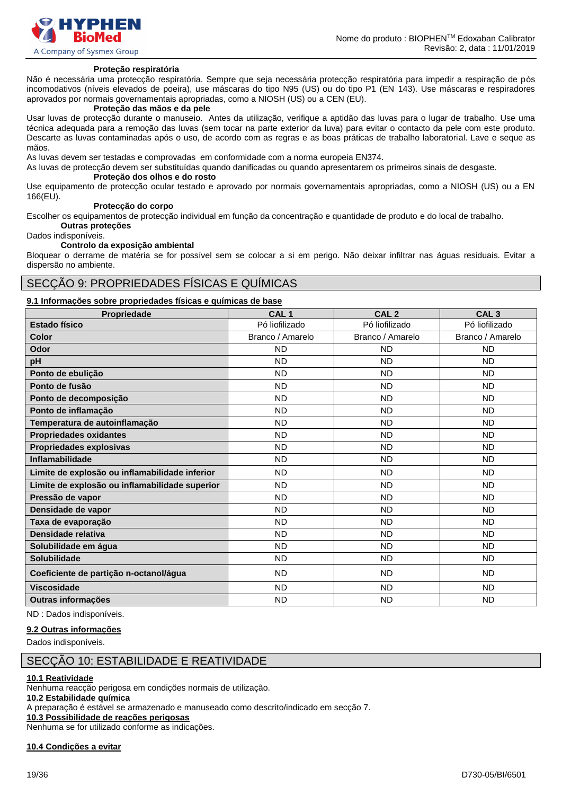

#### **Proteção respiratória**

Não é necessária uma protecção respiratória. Sempre que seja necessária protecção respiratória para impedir a respiração de pós incomodativos (níveis elevados de poeira), use máscaras do tipo N95 (US) ou do tipo P1 (EN 143). Use máscaras e respiradores aprovados por normais governamentais apropriadas, como a NIOSH (US) ou a CEN (EU).

### **Proteção das mãos e da pele**

Usar luvas de protecção durante o manuseio. Antes da utilização, verifique a aptidão das luvas para o lugar de trabalho. Use uma técnica adequada para a remoção das luvas (sem tocar na parte exterior da luva) para evitar o contacto da pele com este produto. Descarte as luvas contaminadas após o uso, de acordo com as regras e as boas práticas de trabalho laboratorial. Lave e seque as mãos.

As luvas devem ser testadas e comprovadas em conformidade com a norma europeia EN374.

As luvas de protecção devem ser substituídas quando danificadas ou quando apresentarem os primeiros sinais de desgaste.

#### **Proteção dos olhos e do rosto**

Use equipamento de protecção ocular testado e aprovado por normais governamentais apropriadas, como a NIOSH (US) ou a EN 166(EU).

#### **Protecção do corpo**

Escolher os equipamentos de protecção individual em função da concentração e quantidade de produto e do local de trabalho. **Outras proteções**

Dados indisponíveis.

#### **Controlo da exposição ambiental**

Bloquear o derrame de matéria se for possível sem se colocar a si em perigo. Não deixar infiltrar nas águas residuais. Evitar a dispersão no ambiente.

# SECÇÃO 9: PROPRIEDADES FÍSICAS E QUÍMICAS

#### **9.1 Informações sobre propriedades físicas e químicas de base**

| Propriedade                                    | CAL <sub>1</sub> | CAL <sub>2</sub> | CAL <sub>3</sub> |
|------------------------------------------------|------------------|------------------|------------------|
| <b>Estado físico</b>                           | Pó liofilizado   | Pó liofilizado   | Pó liofilizado   |
| <b>Color</b>                                   | Branco / Amarelo | Branco / Amarelo | Branco / Amarelo |
| Odor                                           | <b>ND</b>        | <b>ND</b>        | <b>ND</b>        |
| pH                                             | <b>ND</b>        | <b>ND</b>        | <b>ND</b>        |
| Ponto de ebulição                              | <b>ND</b>        | <b>ND</b>        | <b>ND</b>        |
| Ponto de fusão                                 | <b>ND</b>        | <b>ND</b>        | <b>ND</b>        |
| Ponto de decomposição                          | <b>ND</b>        | <b>ND</b>        | <b>ND</b>        |
| Ponto de inflamação                            | <b>ND</b>        | <b>ND</b>        | <b>ND</b>        |
| Temperatura de autoinflamação                  | <b>ND</b>        | <b>ND</b>        | <b>ND</b>        |
| <b>Propriedades oxidantes</b>                  | <b>ND</b>        | <b>ND</b>        | <b>ND</b>        |
| Propriedades explosivas                        | <b>ND</b>        | <b>ND</b>        | <b>ND</b>        |
| Inflamabilidade                                | <b>ND</b>        | <b>ND</b>        | <b>ND</b>        |
| Limite de explosão ou inflamabilidade inferior | <b>ND</b>        | <b>ND</b>        | <b>ND</b>        |
| Limite de explosão ou inflamabilidade superior | <b>ND</b>        | <b>ND</b>        | <b>ND</b>        |
| Pressão de vapor                               | <b>ND</b>        | <b>ND</b>        | <b>ND</b>        |
| Densidade de vapor                             | <b>ND</b>        | <b>ND</b>        | <b>ND</b>        |
| Taxa de evaporação                             | <b>ND</b>        | <b>ND</b>        | <b>ND</b>        |
| Densidade relativa                             | <b>ND</b>        | <b>ND</b>        | <b>ND</b>        |
| Solubilidade em água                           | <b>ND</b>        | <b>ND</b>        | <b>ND</b>        |
| Solubilidade                                   | <b>ND</b>        | <b>ND</b>        | <b>ND</b>        |
| Coeficiente de partição n-octanol/água         | <b>ND</b>        | <b>ND</b>        | <b>ND</b>        |
| <b>Viscosidade</b>                             | <b>ND</b>        | <b>ND</b>        | <b>ND</b>        |
| <b>Outras informações</b>                      | <b>ND</b>        | <b>ND</b>        | <b>ND</b>        |

ND : Dados indisponíveis.

### **9.2 Outras informações**

Dados indisponíveis.

#### SECÇÃO 10: ESTABILIDADE E REATIVIDADE

#### **10.1 Reatividade**

Nenhuma reacção perigosa em condições normais de utilização.

### **10.2 Estabilidade química**

A preparação é estável se armazenado e manuseado como descrito/indicado em secção 7.

# **10.3 Possibilidade de reações perigosas**

Nenhuma se for utilizado conforme as indicações.

**10.4 Condições a evitar**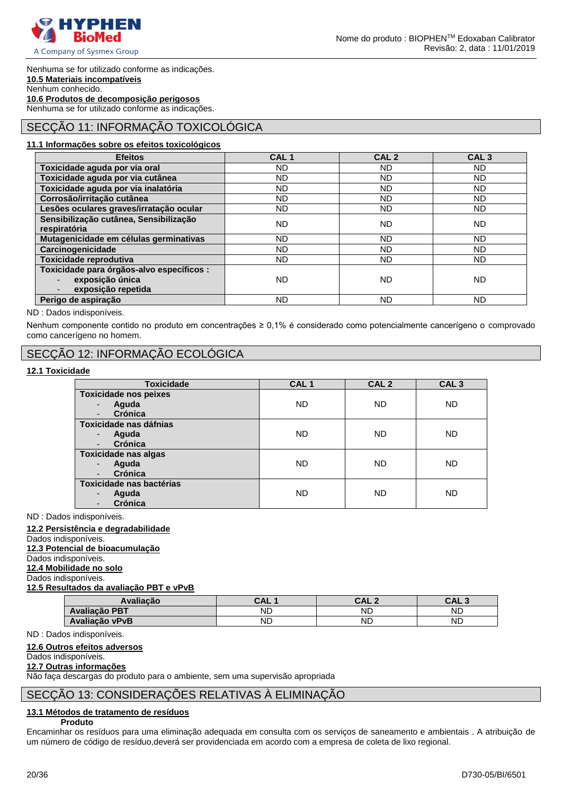

Nenhuma se for utilizado conforme as indicações. **10.5 Materiais incompatíveis** Nenhum conhecido. **10.6 Produtos de decomposição perigosos** Nenhuma se for utilizado conforme as indicações.

# SECÇÃO 11: INFORMAÇÃO TOXICOLÓGICA

#### **11.1 Informações sobre os efeitos toxicológicos**

| <b>Efeitos</b>                            | CAL <sub>1</sub> | CAL <sub>2</sub> | CAL <sub>3</sub> |
|-------------------------------------------|------------------|------------------|------------------|
| Toxicidade aguda por via oral             | ND.              | ND.              | ND.              |
| Toxicidade aguda por via cutânea          | ND.              | <b>ND</b>        | ND.              |
| Toxicidade aguda por via inalatória       | ND.              | <b>ND</b>        | ND.              |
| Corrosão/irritação cutânea                | ND.              | <b>ND</b>        | <b>ND</b>        |
| Lesões oculares graves/irratação ocular   | ND.              | <b>ND</b>        | <b>ND</b>        |
| Sensibilização cutânea, Sensibilização    | ND.              | <b>ND</b>        | ND.              |
| respiratória                              |                  |                  |                  |
| Mutagenicidade em células germinativas    | ND.              | <b>ND</b>        | ND.              |
| Carcinogenicidade                         | ND.              | <b>ND</b>        | <b>ND</b>        |
| Toxicidade reprodutiva                    | ND.              | <b>ND</b>        | ND.              |
| Toxicidade para órgãos-alvo específicos : |                  |                  |                  |
| exposição única                           | ND.              | ND               | <b>ND</b>        |
| exposição repetida                        |                  |                  |                  |
| Perigo de aspiração                       | ND.              | <b>ND</b>        | <b>ND</b>        |

ND : Dados indisponíveis.

Nenhum componente contido no produto em concentrações ≥ 0,1% é considerado como potencialmente cancerígeno o comprovado como cancerígeno no homem.

# SECÇÃO 12: INFORMAÇÃO ECOLÓGICA

#### **12.1 Toxicidade**

| <b>Toxicidade</b>            | CAL <sub>1</sub> | CAL <sub>2</sub> | CAL <sub>3</sub> |
|------------------------------|------------------|------------------|------------------|
| <b>Toxicidade nos peixes</b> |                  |                  |                  |
| Aguda<br>Crónica             | <b>ND</b>        | <b>ND</b>        | <b>ND</b>        |
| Toxicidade nas dáfnias       |                  |                  |                  |
| Aguda                        | <b>ND</b>        | <b>ND</b>        | <b>ND</b>        |
| Crónica                      |                  |                  |                  |
| <b>Toxicidade nas algas</b>  |                  |                  |                  |
| Aguda                        | <b>ND</b>        | <b>ND</b>        | <b>ND</b>        |
| <b>Crónica</b>               |                  |                  |                  |
| Toxicidade nas bactérias     |                  |                  |                  |
| Aguda<br>٠                   | ND               | ND               | ND.              |
| Crónica                      |                  |                  |                  |

ND : Dados indisponíveis.

#### **12.2 Persistência e degradabilidade**

Dados indisponíveis.

# **12.3 Potencial de bioacumulação**

Dados indisponíveis.

# **12.4 Mobilidade no solo**

Dados indisponíveis. **12.5 Resultados da avaliação PBT e vPvB**

| Avaliacão            | CAL : | CAL 2     | CAL <sub>3</sub> |
|----------------------|-------|-----------|------------------|
| <b>Avaliação PBT</b> | ND    | <b>ND</b> | <b>ND</b>        |
| Avaliação vPvB       | ND    | <b>ND</b> | <b>ND</b>        |

ND : Dados indisponíveis.

# **12.6 Outros efeitos adversos**

# Dados indisponíveis.

# **12.7 Outras informações**

Não faça descargas do produto para o ambiente, sem uma supervisão apropriada

# SECÇÃO 13: CONSIDERAÇÕES RELATIVAS À ELIMINAÇÃO

# **13.1 Métodos de tratamento de resíduos**

### **Produto**

Encaminhar os resíduos para uma eliminação adequada em consulta com os serviços de saneamento e ambientais . A atribuição de um número de código de resíduo,deverá ser providenciada em acordo com a empresa de coleta de lixo regional.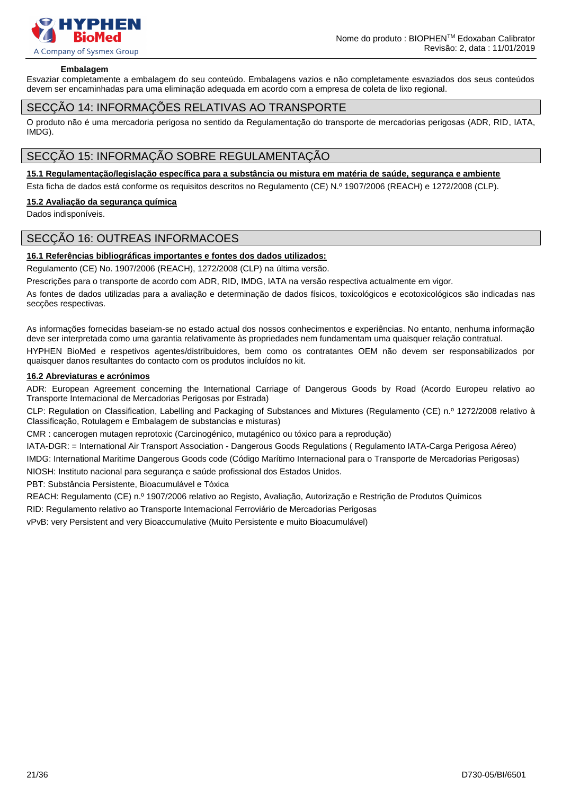

#### **Embalagem**

Esvaziar completamente a embalagem do seu conteúdo. Embalagens vazios e não completamente esvaziados dos seus conteúdos devem ser encaminhadas para uma eliminação adequada em acordo com a empresa de coleta de lixo regional.

### SECÇÃO 14: INFORMAÇÕES RELATIVAS AO TRANSPORTE

O produto não é uma mercadoria perigosa no sentido da Regulamentação do transporte de mercadorias perigosas (ADR, RID, IATA, IMDG).

# SECÇÃO 15: INFORMAÇÃO SOBRE REGULAMENTAÇÃO

#### **15.1 Regulamentação/legislação específica para a substância ou mistura em matéria de saúde, segurança e ambiente**

Esta ficha de dados está conforme os requisitos descritos no Regulamento (CE) N.º 1907/2006 (REACH) e 1272/2008 (CLP).

#### **15.2 Avaliação da segurança química**

Dados indisponíveis.

### SECÇÃO 16: OUTREAS INFORMACOES

#### **16.1 Referências bibliográficas importantes e fontes dos dados utilizados:**

Regulamento (CE) No. 1907/2006 (REACH), 1272/2008 (CLP) na última versão.

Prescrições para o transporte de acordo com ADR, RID, IMDG, IATA na versão respectiva actualmente em vigor.

As fontes de dados utilizadas para a avaliação e determinação de dados físicos, toxicológicos e ecotoxicológicos são indicadas nas secções respectivas.

As informações fornecidas baseiam-se no estado actual dos nossos conhecimentos e experiências. No entanto, nenhuma informação deve ser interpretada como uma garantia relativamente às propriedades nem fundamentam uma quaisquer relação contratual.

HYPHEN BioMed e respetivos agentes/distribuidores, bem como os contratantes OEM não devem ser responsabilizados por quaisquer danos resultantes do contacto com os produtos incluídos no kit.

#### **16.2 Abreviaturas e acrónimos**

ADR: European Agreement concerning the International Carriage of Dangerous Goods by Road (Acordo Europeu relativo ao Transporte Internacional de Mercadorias Perigosas por Estrada)

CLP: Regulation on Classification, Labelling and Packaging of Substances and Mixtures (Regulamento (CE) n.º 1272/2008 relativo à Classificação, Rotulagem e Embalagem de substancias e misturas)

CMR : cancerogen mutagen reprotoxic (Carcinogénico, mutagénico ou tóxico para a reprodução)

IATA-DGR: = International Air Transport Association - Dangerous Goods Regulations ( Regulamento IATA-Carga Perigosa Aéreo) IMDG: International Maritime Dangerous Goods code (Código Marítimo Internacional para o Transporte de Mercadorias Perigosas) NIOSH: Instituto nacional para segurança e saúde profissional dos Estados Unidos.

PBT: Substância Persistente, Bioacumulável e Tóxica

REACH: Regulamento (CE) n.º 1907/2006 relativo ao Registo, Avaliação, Autorização e Restrição de Produtos Químicos

RID: Regulamento relativo ao Transporte Internacional Ferroviário de Mercadorias Perigosas

vPvB: very Persistent and very Bioaccumulative (Muito Persistente e muito Bioacumulável)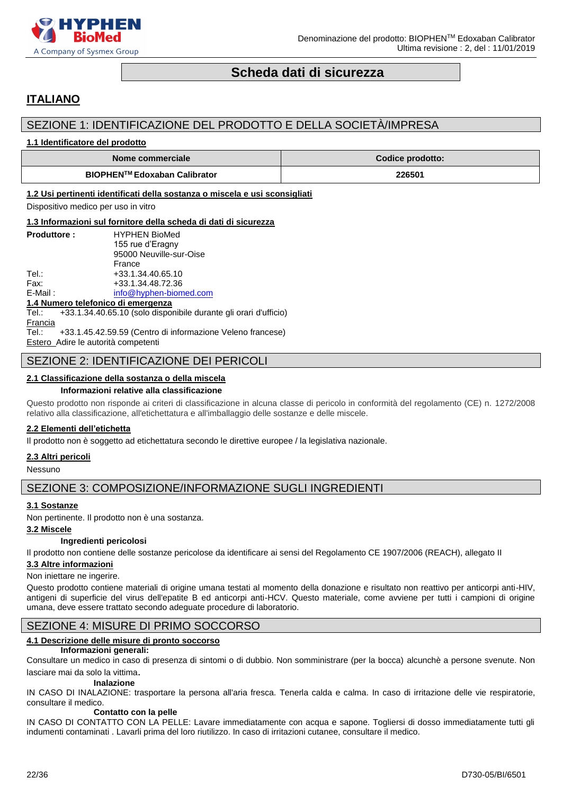

# **Scheda dati di sicurezza**

# <span id="page-21-0"></span>**ITALIANO**

# SEZIONE 1: IDENTIFICAZIONE DEL PRODOTTO E DELLA SOCIETÀ/IMPRESA

#### **1.1 Identificatore del prodotto**

| Nome commerciale             | Codice prodotto: |
|------------------------------|------------------|
| BIOPHEN™ Edoxaban Calibrator | 226501           |

#### **1.2 Usi pertinenti identificati della sostanza o miscela e usi sconsigliati**

Dispositivo medico per uso in vitro

#### **1.3 Informazioni sul fornitore della scheda di dati di sicurezza**

| <b>Produttore:</b> | <b>HYPHEN BioMed</b>    |
|--------------------|-------------------------|
|                    | 155 rue d'Eragny        |
|                    | 95000 Neuville-sur-Oise |
|                    | France                  |
| Tel∴               | +33.1.34.40.65.10       |
| Fax:               | +33.1.34.48.72.36       |
| $E$ -Mail:         | info@hyphen-biomed.com  |

#### **1.4 Numero telefonico di emergenza**

Tel.: +33.1.34.40.65.10 (solo disponibile durante gli orari d'ufficio) **Francia** Tel.: +33.1.45.42.59.59 (Centro di informazione Veleno francese)

Estero Adire le autorità competenti

# SEZIONE 2: IDENTIFICAZIONE DEI PERICOLI

#### **2.1 Classificazione della sostanza o della miscela**

#### **Informazioni relative alla classificazione**

Questo prodotto non risponde ai criteri di classificazione in alcuna classe di pericolo in conformità del regolamento (CE) n. 1272/2008 relativo alla classificazione, all'etichettatura e all'imballaggio delle sostanze e delle miscele.

#### **2.2 Elementi dell'etichetta**

Il prodotto non è soggetto ad etichettatura secondo le direttive europee / la legislativa nazionale.

#### **2.3 Altri pericoli**

Nessuno

# SEZIONE 3: COMPOSIZIONE/INFORMAZIONE SUGLI INGREDIENTI

#### **3.1 Sostanze**

Non pertinente. Il prodotto non è una sostanza.

#### **3.2 Miscele**

#### **Ingredienti pericolosi**

Il prodotto non contiene delle sostanze pericolose da identificare ai sensi del Regolamento CE 1907/2006 (REACH), allegato II

#### **3.3 Altre informazioni**

#### Non iniettare ne ingerire.

Questo prodotto contiene materiali di origine umana testati al momento della donazione e risultato non reattivo per anticorpi anti-HIV, antigeni di superficie del virus dell'epatite B ed anticorpi anti-HCV. Questo materiale, come avviene per tutti i campioni di origine umana, deve essere trattato secondo adeguate procedure di laboratorio.

# SEZIONE 4: MISURE DI PRIMO SOCCORSO

#### **4.1 Descrizione delle misure di pronto soccorso**

#### **Informazioni generali:**

Consultare un medico in caso di presenza di sintomi o di dubbio. Non somministrare (per la bocca) alcunchè a persone svenute. Non lasciare mai da solo la vittima.

#### **Inalazione**

IN CASO DI INALAZIONE: trasportare la persona all'aria fresca. Tenerla calda e calma. In caso di irritazione delle vie respiratorie, consultare il medico.

#### **Contatto con la pelle**

IN CASO DI CONTATTO CON LA PELLE: Lavare immediatamente con acqua e sapone. Togliersi di dosso immediatamente tutti gli indumenti contaminati . Lavarli prima del loro riutilizzo. In caso di irritazioni cutanee, consultare il medico.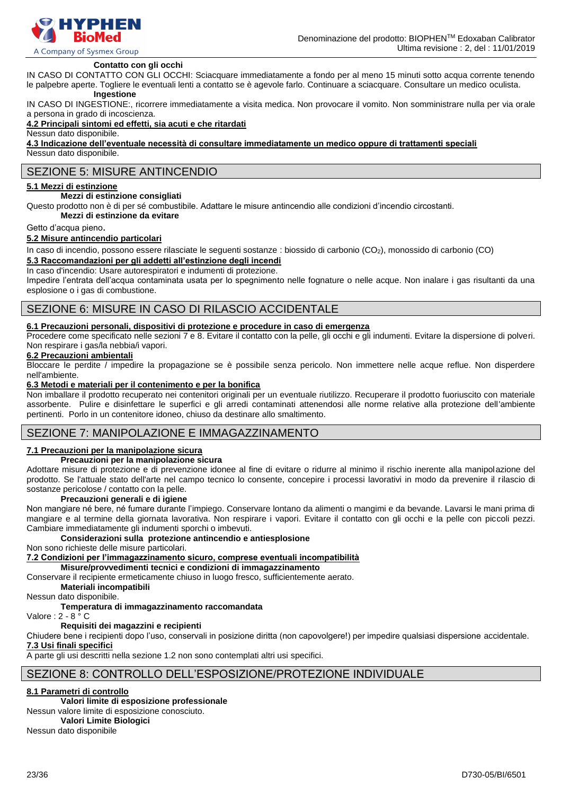

#### **Contatto con gli occhi**

IN CASO DI CONTATTO CON GLI OCCHI: Sciacquare immediatamente a fondo per al meno 15 minuti sotto acqua corrente tenendo le palpebre aperte. Togliere le eventuali lenti a contatto se è agevole farlo. Continuare a sciacquare. Consultare un medico oculista.

# **Ingestione**

IN CASO DI INGESTIONE:, ricorrere immediatamente a visita medica. Non provocare il vomito. Non somministrare nulla per via orale a persona in grado di incoscienza.

#### **4.2 Principali sintomi ed effetti, sia acuti e che ritardati**

Nessun dato disponibile.

**4.3 Indicazione dell'eventuale necessità di consultare immediatamente un medico oppure di trattamenti speciali** Nessun dato disponibile.

# SEZIONE 5: MISURE ANTINCENDIO

# **5.1 Mezzi di estinzione**

**Mezzi di estinzione consigliati**

Questo prodotto non è di per sé combustibile. Adattare le misure antincendio alle condizioni d'incendio circostanti.

**Mezzi di estinzione da evitare**

Getto d'acqua pieno.

#### **5.2 Misure antincendio particolari**

In caso di incendio, possono essere rilasciate le seguenti sostanze : biossido di carbonio (CO<sub>2</sub>), monossido di carbonio (CO)

#### **5.3 Raccomandazioni per gli addetti all'estinzione degli incendi**

In caso d'incendio: Usare autorespiratori e indumenti di protezione.

Impedire l'entrata dell'acqua contaminata usata per lo spegnimento nelle fognature o nelle acque. Non inalare i gas risultanti da una esplosione o i gas di combustione.

# SEZIONE 6: MISURE IN CASO DI RILASCIO ACCIDENTALE

#### **6.1 Precauzioni personali, dispositivi di protezione e procedure in caso di emergenza**

Procedere come specificato nelle sezioni 7 e 8. Evitare il contatto con la pelle, gli occhi e gli indumenti. Evitare la dispersione di polveri. Non respirare i gas/la nebbia/i vapori.

### **6.2 Precauzioni ambientali**

Bloccare le perdite / impedire la propagazione se è possibile senza pericolo. Non immettere nelle acque reflue. Non disperdere nell'ambiente.

#### **6.3 Metodi e materiali per il contenimento e per la bonifica**

Non imballare il prodotto recuperato nei contenitori originali per un eventuale riutilizzo. Recuperare il prodotto fuoriuscito con materiale assorbente. Pulire e disinfettare le superfici e gli arredi contaminati attenendosi alle norme relative alla protezione dell'ambiente pertinenti. Porlo in un contenitore idoneo, chiuso da destinare allo smaltimento.

# SEZIONE 7: MANIPOLAZIONE E IMMAGAZZINAMENTO

#### **7.1 Precauzioni per la manipolazione sicura**

#### **Precauzioni per la manipolazione sicura**

Adottare misure di protezione e di prevenzione idonee al fine di evitare o ridurre al minimo il rischio inerente alla manipolazione del prodotto. Se l'attuale stato dell'arte nel campo tecnico lo consente, concepire i processi lavorativi in modo da prevenire il rilascio di sostanze pericolose / contatto con la pelle.

#### **Precauzioni generali e di igiene**

Non mangiare né bere, né fumare durante l'impiego. Conservare lontano da alimenti o mangimi e da bevande. Lavarsi le mani prima di mangiare e al termine della giornata lavorativa. Non respirare i vapori. Evitare il contatto con gli occhi e la pelle con piccoli pezzi. Cambiare immediatamente gli indumenti sporchi o imbevuti.

#### **Considerazioni sulla protezione antincendio e antiesplosione**

Non sono richieste delle misure particolari.

**7.2 Condizioni per l'immagazzinamento sicuro, comprese eventuali incompatibilità**

**Misure/provvedimenti tecnici e condizioni di immagazzinamento**

Conservare il recipiente ermeticamente chiuso in luogo fresco, sufficientemente aerato.

**Materiali incompatibili**

Nessun dato disponibile.

### **Temperatura di immagazzinamento raccomandata**

Valore : 2 - 8 ° C

#### **Requisiti dei magazzini e recipienti**

Chiudere bene i recipienti dopo l'uso, conservali in posizione diritta (non capovolgere!) per impedire qualsiasi dispersione accidentale. **7.3 Usi finali specifici**

A parte gli usi descritti nella sezione 1.2 non sono contemplati altri usi specifici.

# SEZIONE 8: CONTROLLO DELL'ESPOSIZIONE/PROTEZIONE INDIVIDUALE

#### **8.1 Parametri di controllo**

#### **Valori limite di esposizione professionale**

Nessun valore limite di esposizione conosciuto.

**Valori Limite Biologici** Nessun dato disponibile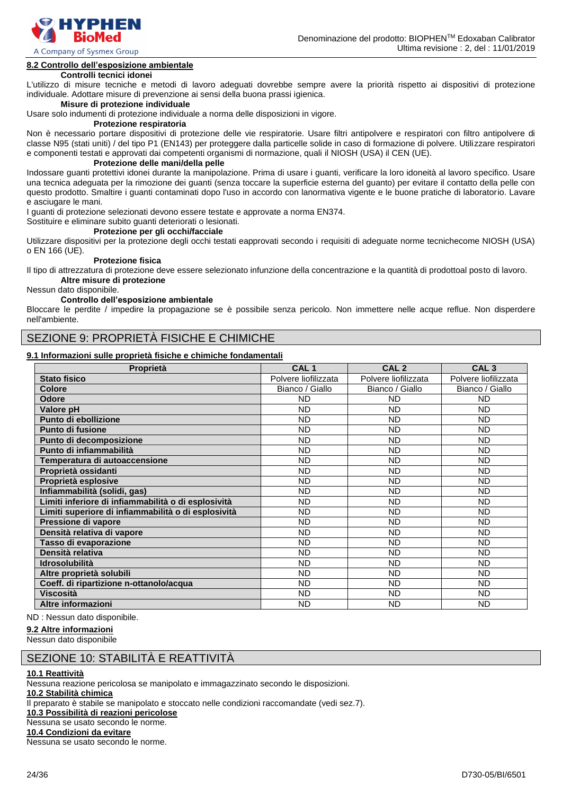

A Company of Sysmex Group

# **8.2 Controllo dell'esposizione ambientale**

### **Controlli tecnici idonei**

L'utilizzo di misure tecniche e metodi di lavoro adeguati dovrebbe sempre avere la priorità rispetto ai dispositivi di protezione individuale. Adottare misure di prevenzione ai sensi della buona prassi igienica.

#### **Misure di protezione individuale**

Usare solo indumenti di protezione individuale a norma delle disposizioni in vigore.

#### **Protezione respiratoria**

Non è necessario portare dispositivi di protezione delle vie respiratorie. Usare filtri antipolvere e respiratori con filtro antipolvere di classe N95 (stati uniti) / del tipo P1 (EN143) per proteggere dalla particelle solide in caso di formazione di polvere. Utilizzare respiratori e componenti testati e approvati dai competenti organismi di normazione, quali il NIOSH (USA) il CEN (UE).

#### **Protezione delle mani/della pelle**

Indossare guanti protettivi idonei durante la manipolazione. Prima di usare i guanti, verificare la loro idoneità al lavoro specifico. Usare una tecnica adeguata per la rimozione dei guanti (senza toccare la superficie esterna del guanto) per evitare il contatto della pelle con questo prodotto. Smaltire i guanti contaminati dopo l'uso in accordo con lanormativa vigente e le buone pratiche di laboratorio. Lavare e asciugare le mani.

I guanti di protezione selezionati devono essere testate e approvate a norma EN374.

Sostituire e eliminare subito guanti deteriorati o lesionati.

#### **Protezione per gli occhi/facciale**

Utilizzare dispositivi per la protezione degli occhi testati eapprovati secondo i requisiti di adeguate norme tecnichecome NIOSH (USA) o EN 166 (UE).

#### **Protezione fisica**

Il tipo di attrezzatura di protezione deve essere selezionato infunzione della concentrazione e la quantità di prodottoal posto di lavoro. **Altre misure di protezione**

Nessun dato disponibile.

#### **Controllo dell'esposizione ambientale**

Bloccare le perdite / impedire la propagazione se è possibile senza pericolo. Non immettere nelle acque reflue. Non disperdere nell'ambiente.

# SEZIONE 9: PROPRIETÀ FISICHE E CHIMICHE

#### **9.1 Informazioni sulle proprietà fisiche e chimiche fondamentali**

| Proprietà                                           | CAL <sub>1</sub>     | CAL <sub>2</sub>     | CAL <sub>3</sub>     |
|-----------------------------------------------------|----------------------|----------------------|----------------------|
| <b>Stato fisico</b>                                 | Polvere liofilizzata | Polvere liofilizzata | Polvere liofilizzata |
| <b>Colore</b>                                       | Bianco / Giallo      | Bianco / Giallo      | Bianco / Giallo      |
| <b>Odore</b>                                        | <b>ND</b>            | <b>ND</b>            | <b>ND</b>            |
| Valore pH                                           | <b>ND</b>            | <b>ND</b>            | ND                   |
| Punto di ebollizione                                | <b>ND</b>            | <b>ND</b>            | <b>ND</b>            |
| Punto di fusione                                    | <b>ND</b>            | <b>ND</b>            | <b>ND</b>            |
| Punto di decomposizione                             | <b>ND</b>            | <b>ND</b>            | <b>ND</b>            |
| Punto di infiammabilità                             | <b>ND</b>            | <b>ND</b>            | ND                   |
| Temperatura di autoaccensione                       | <b>ND</b>            | <b>ND</b>            | <b>ND</b>            |
| Proprietà ossidanti                                 | <b>ND</b>            | <b>ND</b>            | <b>ND</b>            |
| Proprietà esplosive                                 | <b>ND</b>            | <b>ND</b>            | <b>ND</b>            |
| Infiammabilità (solidi, gas)                        | <b>ND</b>            | <b>ND</b>            | <b>ND</b>            |
| Limiti inferiore di infiammabilità o di esplosività | <b>ND</b>            | <b>ND</b>            | <b>ND</b>            |
| Limiti superiore di infiammabilità o di esplosività | <b>ND</b>            | <b>ND</b>            | <b>ND</b>            |
| Pressione di vapore                                 | <b>ND</b>            | <b>ND</b>            | ND                   |
| Densità relativa di vapore                          | <b>ND</b>            | <b>ND</b>            | <b>ND</b>            |
| Tasso di evaporazione                               | <b>ND</b>            | <b>ND</b>            | ND                   |
| Densità relativa                                    | <b>ND</b>            | <b>ND</b>            | <b>ND</b>            |
| <b>Idrosolubilità</b>                               | <b>ND</b>            | <b>ND</b>            | <b>ND</b>            |
| Altre proprietà solubili                            | <b>ND</b>            | <b>ND</b>            | <b>ND</b>            |
| Coeff. di ripartizione n-ottanolo/acqua             | <b>ND</b>            | <b>ND</b>            | ND                   |
| <b>Viscosità</b>                                    | <b>ND</b>            | <b>ND</b>            | <b>ND</b>            |
| Altre informazioni                                  | <b>ND</b>            | <b>ND</b>            | <b>ND</b>            |

ND : Nessun dato disponibile.

#### **9.2 Altre informazioni**

Nessun dato disponibile

# SEZIONE 10: STABILITÀ E REATTIVITÀ

#### **10.1 Reattività**

Nessuna reazione pericolosa se manipolato e immagazzinato secondo le disposizioni. **10.2 Stabilità chimica** Il preparato è stabile se manipolato e stoccato nelle condizioni raccomandate (vedi sez.7). **10.3 Possibilità di reazioni pericolose** Nessuna se usato secondo le norme. **10.4 Condizioni da evitare**

Nessuna se usato secondo le norme.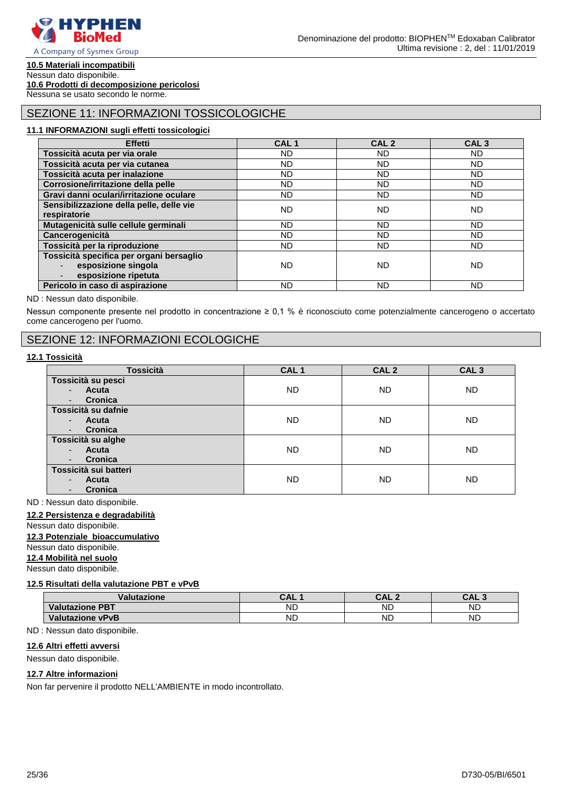

# **10.5 Materiali incompatibili**

Nessun dato disponibile. **10.6 Prodotti di decomposizione pericolosi**

Nessuna se usato secondo le norme.

# SEZIONE 11: INFORMAZIONI TOSSICOLOGICHE

#### **11.1 INFORMAZIONI sugli effetti tossicologici**

| <b>Effetti</b>                                                                          | CAL <sub>1</sub> | CAL <sub>2</sub> | CAL <sub>3</sub> |
|-----------------------------------------------------------------------------------------|------------------|------------------|------------------|
| Tossicità acuta per via orale                                                           | ND.              | ND.              | ND.              |
| Tossicità acuta per via cutanea                                                         | <b>ND</b>        | ND.              | ND.              |
| Tossicità acuta per inalazione                                                          | ND.              | ND.              | ND.              |
| Corrosione/irritazione della pelle                                                      | <b>ND</b>        | ND.              | ND.              |
| Gravi danni oculari/irritazione oculare                                                 | <b>ND</b>        | <b>ND</b>        | ND.              |
| Sensibilizzazione della pelle, delle vie<br>respiratorie                                | ND               | ND               | ND.              |
| Mutagenicità sulle cellule germinali                                                    | <b>ND</b>        | <b>ND</b>        | ND.              |
| Cancerogenicità                                                                         | <b>ND</b>        | ND.              | ND.              |
| Tossicità per la riproduzione                                                           | ND               | ND.              | ND.              |
| Tossicità specifica per organi bersaglio<br>esposizione singola<br>esposizione ripetuta | <b>ND</b>        | <b>ND</b>        | ND.              |
| Pericolo in caso di aspirazione                                                         | ND               | <b>ND</b>        | ND.              |

#### ND : Nessun dato disponibile.

Nessun componente presente nel prodotto in concentrazione ≥ 0,1 % è riconosciuto come potenzialmente cancerogeno o accertato come cancerogeno per l'uomo.

# SEZIONE 12: INFORMAZIONI ECOLOGICHE

#### **12.1 Tossicità**

| <b>Tossicità</b>                    | CAL <sub>1</sub> | CAL <sub>2</sub> | CAL <sub>3</sub> |
|-------------------------------------|------------------|------------------|------------------|
| Tossicità su pesci                  |                  |                  |                  |
| Acuta<br>$\overline{\phantom{a}}$   | ND.              | <b>ND</b>        | <b>ND</b>        |
| Cronica<br>۰.                       |                  |                  |                  |
| Tossicità su dafnie                 |                  |                  |                  |
| Acuta<br>$\blacksquare$             | ND.              | <b>ND</b>        | <b>ND</b>        |
| Cronica<br>٠                        |                  |                  |                  |
| Tossicità su alghe                  |                  |                  |                  |
| Acuta<br>$\blacksquare$             | ND.              | <b>ND</b>        | <b>ND</b>        |
| Cronica<br>$\overline{\phantom{a}}$ |                  |                  |                  |
| Tossicità sui batteri               |                  |                  |                  |
| <b>Acuta</b><br>$\blacksquare$      | ND.              | <b>ND</b>        | <b>ND</b>        |
| Cronica<br>٠                        |                  |                  |                  |

ND : Nessun dato disponibile.

#### **12.2 Persistenza e degradabilità**

# Nessun dato disponibile.

# **12.3 Potenziale bioaccumulativo**

Nessun dato disponibile.

# **12.4 Mobilità nel suolo**

Nessun dato disponibile.

#### **12.5 Risultati della valutazione PBT e vPvB**

| Val<br>utazione               | CAI       | C NI J<br>UAL. | C A F<br>$\sqrt{2}$ |
|-------------------------------|-----------|----------------|---------------------|
| <b>Valutazione</b><br>$.$ PBT | <b>ND</b> | <b>ND</b>      | ND                  |
| Valutazione vPvB              | ND        | <b>ND</b>      | <b>ND</b>           |

#### ND : Nessun dato disponibile.

### **12.6 Altri effetti avversi**

Nessun dato disponibile.

#### **12.7 Altre informazioni**

Non far pervenire il prodotto NELL'AMBIENTE in modo incontrollato.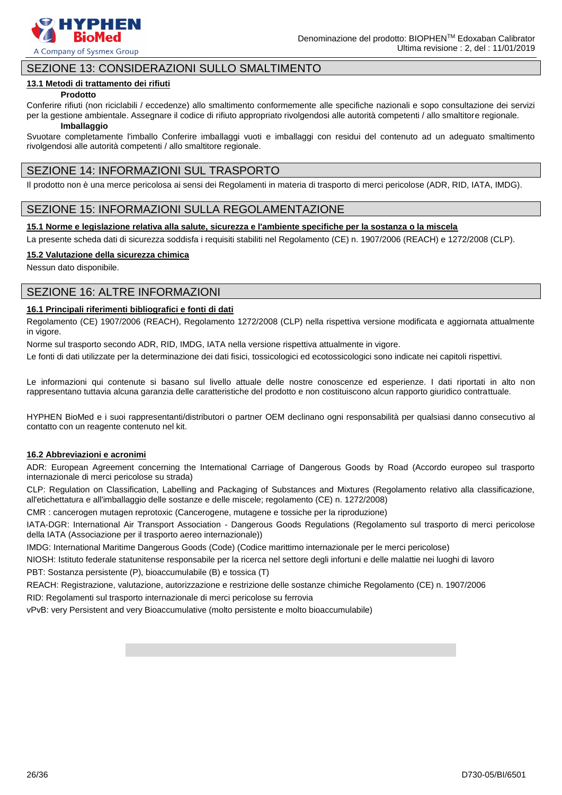

# SEZIONE 13: CONSIDERAZIONI SULLO SMALTIMENTO

#### **13.1 Metodi di trattamento dei rifiuti**

#### **Prodotto**

Conferire rifiuti (non riciclabili / eccedenze) allo smaltimento conformemente alle specifiche nazionali e sopo consultazione dei servizi per la gestione ambientale. Assegnare il codice di rifiuto appropriato rivolgendosi alle autorità competenti / allo smaltitore regionale.

#### **Imballaggio**

Svuotare completamente l'imballo Conferire imballaggi vuoti e imballaggi con residui del contenuto ad un adeguato smaltimento rivolgendosi alle autorità competenti / allo smaltitore regionale.

# SEZIONE 14: INFORMAZIONI SUL TRASPORTO

Il prodotto non è una merce pericolosa ai sensi dei Regolamenti in materia di trasporto di merci pericolose (ADR, RID, IATA, IMDG).

# SEZIONE 15: INFORMAZIONI SULLA REGOLAMENTAZIONE

#### **15.1 Norme e legislazione relativa alla salute, sicurezza e l'ambiente specifiche per la sostanza o la miscela**

La presente scheda dati di sicurezza soddisfa i requisiti stabiliti nel Regolamento (CE) n. 1907/2006 (REACH) e 1272/2008 (CLP).

#### **15.2 Valutazione della sicurezza chimica**

Nessun dato disponibile.

# SEZIONE 16: ALTRE INFORMAZIONI

#### **16.1 Principali riferimenti bibliografici e fonti di dati**

Regolamento (CE) 1907/2006 (REACH), Regolamento 1272/2008 (CLP) nella rispettiva versione modificata e aggiornata attualmente in vigore.

Norme sul trasporto secondo ADR, RID, IMDG, IATA nella versione rispettiva attualmente in vigore.

Le fonti di dati utilizzate per la determinazione dei dati fisici, tossicologici ed ecotossicologici sono indicate nei capitoli rispettivi.

Le informazioni qui contenute si basano sul livello attuale delle nostre conoscenze ed esperienze. I dati riportati in alto non rappresentano tuttavia alcuna garanzia delle caratteristiche del prodotto e non costituiscono alcun rapporto giuridico contrattuale.

HYPHEN BioMed e i suoi rappresentanti/distributori o partner OEM declinano ogni responsabilità per qualsiasi danno consecutivo al contatto con un reagente contenuto nel kit.

#### **16.2 Abbreviazioni e acronimi**

ADR: European Agreement concerning the International Carriage of Dangerous Goods by Road (Accordo europeo sul trasporto internazionale di merci pericolose su strada)

CLP: Regulation on Classification, Labelling and Packaging of Substances and Mixtures (Regolamento relativo alla classificazione, all'etichettatura e all'imballaggio delle sostanze e delle miscele; regolamento (CE) n. 1272/2008)

CMR : cancerogen mutagen reprotoxic (Cancerogene, mutagene e tossiche per la riproduzione)

IATA-DGR: International Air Transport Association - Dangerous Goods Regulations (Regolamento sul trasporto di merci pericolose della IATA (Associazione per il trasporto aereo internazionale))

IMDG: International Maritime Dangerous Goods (Code) (Codice marittimo internazionale per le merci pericolose)

NIOSH: Istituto federale statunitense responsabile per la ricerca nel settore degli infortuni e delle malattie nei luoghi di lavoro PBT: Sostanza persistente (P), bioaccumulabile (B) e tossica (T)

REACH: Registrazione, valutazione, autorizzazione e restrizione delle sostanze chimiche Regolamento (CE) n. 1907/2006

RID: Regolamenti sul trasporto internazionale di merci pericolose su ferrovia

vPvB: very Persistent and very Bioaccumulative (molto persistente e molto bioaccumulabile)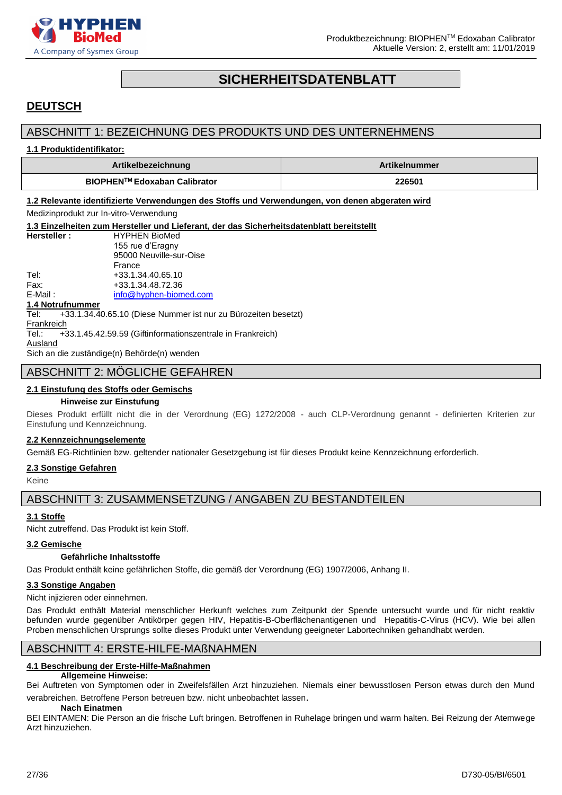

# **SICHERHEITSDATENBLATT**

# <span id="page-26-0"></span>**DEUTSCH**

# ABSCHNITT 1: BEZEICHNUNG DES PRODUKTS UND DES UNTERNEHMENS

#### **1.1 Produktidentifikator:**

| Artikelbezeichnung           | <b>Artikelnummer</b> |
|------------------------------|----------------------|
| BIOPHEN™ Edoxaban Calibrator | 226501               |

**1.2 Relevante identifizierte Verwendungen des Stoffs und Verwendungen, von denen abgeraten wird**

Medizinprodukt zur In-vitro-Verwendung

**1.3 Einzelheiten zum Hersteller und Lieferant, der das Sicherheitsdatenblatt bereitstellt Hersteller :** HYPHEN BioMed 155 rue d'Eragny 95000 Neuville-sur-Oise

France Tel: +33.1.34.40.65.10 Fax: +33.1.34.48.72.36

E-Mail: [info@hyphen-biomed.com](mailto:info@hyphen-biomed.com)

#### **1.4 Notrufnummer**

Tel: +33.1.34.40.65.10 (Diese Nummer ist nur zu Bürozeiten besetzt) **Frankreich** Tel.: +33.1.45.42.59.59 (Giftinformationszentrale in Frankreich) **Ausland** 

Sich an die zuständige(n) Behörde(n) wenden

# ABSCHNITT 2: MÖGLICHE GEFAHREN

#### **2.1 Einstufung des Stoffs oder Gemischs**

#### **Hinweise zur Einstufung**

Dieses Produkt erfüllt nicht die in der Verordnung (EG) 1272/2008 - auch CLP-Verordnung genannt - definierten Kriterien zur Einstufung und Kennzeichnung.

#### **2.2 Kennzeichnungselemente**

Gemäß EG-Richtlinien bzw. geltender nationaler Gesetzgebung ist für dieses Produkt keine Kennzeichnung erforderlich.

#### **2.3 Sonstige Gefahren**

Keine

ABSCHNITT 3: ZUSAMMENSETZUNG / ANGABEN ZU BESTANDTEILEN

#### **3.1 Stoffe**

Nicht zutreffend. Das Produkt ist kein Stoff.

#### **3.2 Gemische**

#### **Gefährliche Inhaltsstoffe**

Das Produkt enthält keine gefährlichen Stoffe, die gemäß der Verordnung (EG) 1907/2006, Anhang II.

#### **3.3 Sonstige Angaben**

Nicht injizieren oder einnehmen.

Das Produkt enthält Material menschlicher Herkunft welches zum Zeitpunkt der Spende untersucht wurde und für nicht reaktiv befunden wurde gegenüber Antikörper gegen HIV, Hepatitis-B-Oberflächenantigenen und Hepatitis-C-Virus (HCV). Wie bei allen Proben menschlichen Ursprungs sollte dieses Produkt unter Verwendung geeigneter Labortechniken gehandhabt werden.

# ABSCHNITT 4: ERSTE-HILFE-MAßNAHMEN

### **4.1 Beschreibung der Erste-Hilfe-Maßnahmen**

#### **Allgemeine Hinweise:**

Bei Auftreten von Symptomen oder in Zweifelsfällen Arzt hinzuziehen. Niemals einer bewusstlosen Person etwas durch den Mund verabreichen. Betroffene Person betreuen bzw. nicht unbeobachtet lassen.

#### **Nach Einatmen**

BEI EINTAMEN: Die Person an die frische Luft bringen. Betroffenen in Ruhelage bringen und warm halten. Bei Reizung der Atemwege Arzt hinzuziehen.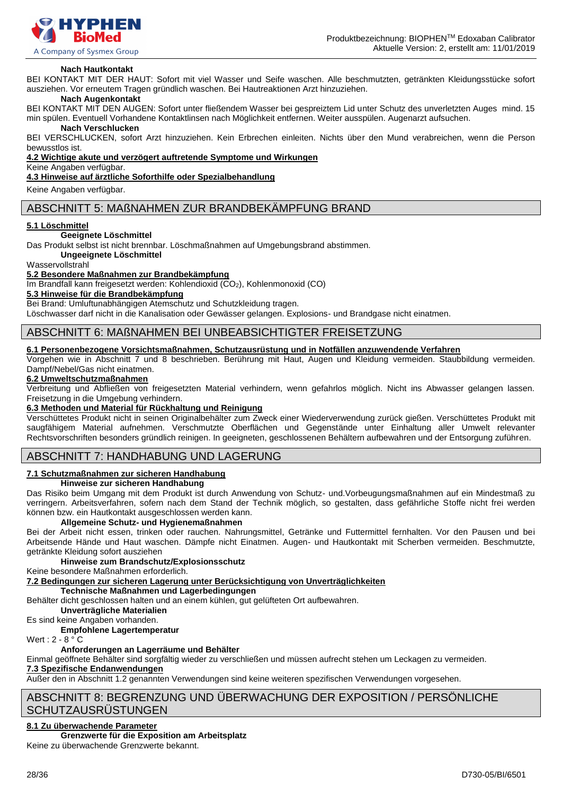

#### **Nach Hautkontakt**

BEI KONTAKT MIT DER HAUT: Sofort mit viel Wasser und Seife waschen. Alle beschmutzten, getränkten Kleidungsstücke sofort ausziehen. Vor erneutem Tragen gründlich waschen. Bei Hautreaktionen Arzt hinzuziehen.

#### **Nach Augenkontakt**

BEI KONTAKT MIT DEN AUGEN: Sofort unter fließendem Wasser bei gespreiztem Lid unter Schutz des unverletzten Auges mind. 15 min spülen. Eventuell Vorhandene Kontaktlinsen nach Möglichkeit entfernen. Weiter ausspülen. Augenarzt aufsuchen.

#### **Nach Verschlucken**

BEI VERSCHLUCKEN, sofort Arzt hinzuziehen. Kein Erbrechen einleiten. Nichts über den Mund verabreichen, wenn die Person bewusstlos ist.

**4.2 Wichtige akute und verzögert auftretende Symptome und Wirkungen**

#### Keine Angaben verfügbar.

**4.3 Hinweise auf ärztliche Soforthilfe oder Spezialbehandlung**

Keine Angaben verfügbar.

### ABSCHNITT 5: MAßNAHMEN ZUR BRANDBEKÄMPFUNG BRAND

#### **5.1 Löschmittel**

#### **Geeignete Löschmittel**

Das Produkt selbst ist nicht brennbar. Löschmaßnahmen auf Umgebungsbrand abstimmen.

**Ungeeignete Löschmittel**

Wasservollstrahl

#### **5.2 Besondere Maßnahmen zur Brandbekämpfung**

Im Brandfall kann freigesetzt werden: Kohlendioxid (CO<sub>2</sub>), Kohlenmonoxid (CO)

**5.3 Hinweise für die Brandbekämpfung**

Bei Brand: Umluftunabhängigen Atemschutz und Schutzkleidung tragen.

Löschwasser darf nicht in die Kanalisation oder Gewässer gelangen. Explosions- und Brandgase nicht einatmen.

# ABSCHNITT 6: MAßNAHMEN BEI UNBEABSICHTIGTER FREISETZUNG

#### **6.1 Personenbezogene Vorsichtsmaßnahmen, Schutzausrüstung und in Notfällen anzuwendende Verfahren**

Vorgehen wie in Abschnitt 7 und 8 beschrieben. Berührung mit Haut, Augen und Kleidung vermeiden. Staubbildung vermeiden. Dampf/Nebel/Gas nicht einatmen.

#### **6.2 Umweltschutzmaßnahmen**

Verbreitung und Abfließen von freigesetzten Material verhindern, wenn gefahrlos möglich. Nicht ins Abwasser gelangen lassen. Freisetzung in die Umgebung verhindern.

#### **6.3 Methoden und Material für Rückhaltung und Reinigung**

Verschüttetes Produkt nicht in seinen Originalbehälter zum Zweck einer Wiederverwendung zurück gießen. Verschüttetes Produkt mit saugfähigem Material aufnehmen. Verschmutzte Oberflächen und Gegenstände unter Einhaltung aller Umwelt relevanter Rechtsvorschriften besonders gründlich reinigen. In geeigneten, geschlossenen Behältern aufbewahren und der Entsorgung zuführen.

# ABSCHNITT 7: HANDHABUNG UND LAGERUNG

### **7.1 Schutzmaßnahmen zur sicheren Handhabung**

**Hinweise zur sicheren Handhabung**

Das Risiko beim Umgang mit dem Produkt ist durch Anwendung von Schutz- und.Vorbeugungsmaßnahmen auf ein Mindestmaß zu verringern. Arbeitsverfahren, sofern nach dem Stand der Technik möglich, so gestalten, dass gefährliche Stoffe nicht frei werden können bzw. ein Hautkontakt ausgeschlossen werden kann.

#### **Allgemeine Schutz- und Hygienemaßnahmen**

Bei der Arbeit nicht essen, trinken oder rauchen. Nahrungsmittel, Getränke und Futtermittel fernhalten. Vor den Pausen und bei Arbeitsende Hände und Haut waschen. Dämpfe nicht Einatmen. Augen- und Hautkontakt mit Scherben vermeiden. Beschmutzte, getränkte Kleidung sofort ausziehen

#### **Hinweise zum Brandschutz/Explosionsschutz**

Keine besondere Maßnahmen erforderlich.

**7.2 Bedingungen zur sicheren Lagerung unter Berücksichtigung von Unverträglichkeiten**

**Technische Maßnahmen und Lagerbedingungen**

Behälter dicht geschlossen halten und an einem kühlen, gut gelüfteten Ort aufbewahren.

**Unverträgliche Materialien**

Es sind keine Angaben vorhanden.

**Empfohlene Lagertemperatur**

Wert :  $2 - 8^\circ$  C

# **Anforderungen an Lagerräume und Behälter**

Einmal geöffnete Behälter sind sorgfältig wieder zu verschließen und müssen aufrecht stehen um Leckagen zu vermeiden.

# **7.3 Spezifische Endanwendungen**

Außer den in Abschnitt 1.2 genannten Verwendungen sind keine weiteren spezifischen Verwendungen vorgesehen.

# ABSCHNITT 8: BEGRENZUNG UND ÜBERWACHUNG DER EXPOSITION / PERSÖNLICHE **SCHUTZAUSRÜSTUNGEN**

# **8.1 Zu überwachende Parameter**

# **Grenzwerte für die Exposition am Arbeitsplatz**

Keine zu überwachende Grenzwerte bekannt.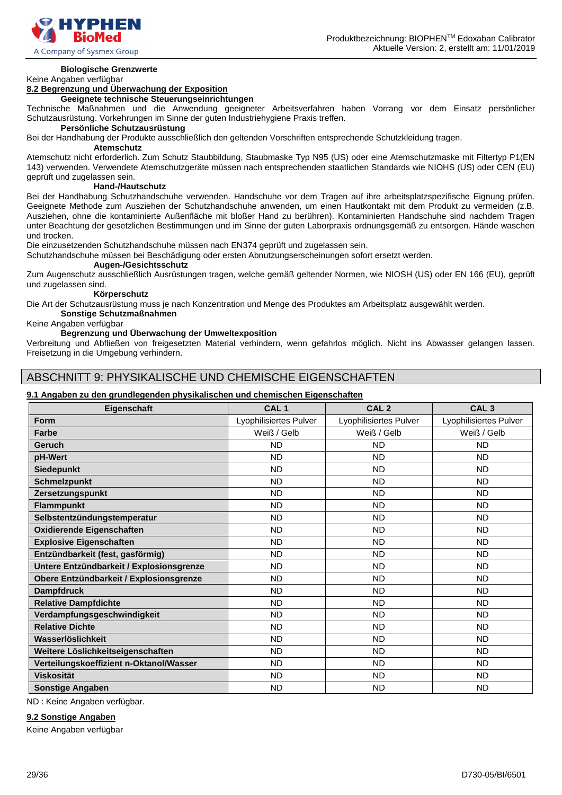

# **Biologische Grenzwerte**

### Keine Angaben verfügbar

# **8.2 Begrenzung und Überwachung der Exposition**

#### **Geeignete technische Steuerungseinrichtungen**

Technische Maßnahmen und die Anwendung geeigneter Arbeitsverfahren haben Vorrang vor dem Einsatz persönlicher Schutzausrüstung. Vorkehrungen im Sinne der guten Industriehygiene Praxis treffen.

#### **Persönliche Schutzausrüstung**

Bei der Handhabung der Produkte ausschließlich den geltenden Vorschriften entsprechende Schutzkleidung tragen.

#### **Atemschutz**

Atemschutz nicht erforderlich. Zum Schutz Staubbildung, Staubmaske Typ N95 (US) oder eine Atemschutzmaske mit Filtertyp P1(EN 143) verwenden. Verwendete Atemschutzgeräte müssen nach entsprechenden staatlichen Standards wie NIOHS (US) oder CEN (EU) geprüft und zugelassen sein.

#### **Hand-/Hautschutz**

Bei der Handhabung Schutzhandschuhe verwenden. Handschuhe vor dem Tragen auf ihre arbeitsplatzspezifische Eignung prüfen. Geeignete Methode zum Ausziehen der Schutzhandschuhe anwenden, um einen Hautkontakt mit dem Produkt zu vermeiden (z.B. Ausziehen, ohne die kontaminierte Außenfläche mit bloßer Hand zu berühren). Kontaminierten Handschuhe sind nachdem Tragen unter Beachtung der gesetzlichen Bestimmungen und im Sinne der guten Laborpraxis ordnungsgemäß zu entsorgen. Hände waschen und trocken.

Die einzusetzenden Schutzhandschuhe müssen nach EN374 geprüft und zugelassen sein.

Schutzhandschuhe müssen bei Beschädigung oder ersten Abnutzungserscheinungen sofort ersetzt werden.

# **Augen-/Gesichtsschutz**

Zum Augenschutz ausschließlich Ausrüstungen tragen, welche gemäß geltender Normen, wie NIOSH (US) oder EN 166 (EU), geprüft und zugelassen sind.

#### **Körperschutz**

Die Art der Schutzausrüstung muss je nach Konzentration und Menge des Produktes am Arbeitsplatz ausgewählt werden.

### **Sonstige Schutzmaßnahmen**

### Keine Angaben verfügbar

#### **Begrenzung und Überwachung der Umweltexposition**

Verbreitung und Abfließen von freigesetzten Material verhindern, wenn gefahrlos möglich. Nicht ins Abwasser gelangen lassen. Freisetzung in die Umgebung verhindern.

# ABSCHNITT 9: PHYSIKALISCHE UND CHEMISCHE EIGENSCHAFTEN

#### **9.1 Angaben zu den grundlegenden physikalischen und chemischen Eigenschaften**

| Eigenschaft                              | CAL <sub>1</sub>       | CAL <sub>2</sub>       | CAL <sub>3</sub>       |
|------------------------------------------|------------------------|------------------------|------------------------|
| <b>Form</b>                              | Lyophilisiertes Pulver | Lyophilisiertes Pulver | Lyophilisiertes Pulver |
| Farbe                                    | Weiß / Gelb            | Weiß / Gelb            | Weiß / Gelb            |
| Geruch                                   | <b>ND</b>              | <b>ND</b>              | <b>ND</b>              |
| pH-Wert                                  | <b>ND</b>              | <b>ND</b>              | <b>ND</b>              |
| <b>Siedepunkt</b>                        | <b>ND</b>              | <b>ND</b>              | <b>ND</b>              |
| <b>Schmelzpunkt</b>                      | <b>ND</b>              | <b>ND</b>              | <b>ND</b>              |
| Zersetzungspunkt                         | <b>ND</b>              | <b>ND</b>              | <b>ND</b>              |
| <b>Flammpunkt</b>                        | <b>ND</b>              | <b>ND</b>              | <b>ND</b>              |
| Selbstentzündungstemperatur              | <b>ND</b>              | <b>ND</b>              | <b>ND</b>              |
| <b>Oxidierende Eigenschaften</b>         | <b>ND</b>              | <b>ND</b>              | <b>ND</b>              |
| <b>Explosive Eigenschaften</b>           | <b>ND</b>              | <b>ND</b>              | <b>ND</b>              |
| Entzündbarkeit (fest, gasförmig)         | <b>ND</b>              | <b>ND</b>              | <b>ND</b>              |
| Untere Entzündbarkeit / Explosionsgrenze | <b>ND</b>              | <b>ND</b>              | ND.                    |
| Obere Entzündbarkeit / Explosionsgrenze  | <b>ND</b>              | <b>ND</b>              | ND.                    |
| <b>Dampfdruck</b>                        | <b>ND</b>              | <b>ND</b>              | ND.                    |
| <b>Relative Dampfdichte</b>              | <b>ND</b>              | <b>ND</b>              | <b>ND</b>              |
| Verdampfungsgeschwindigkeit              | <b>ND</b>              | <b>ND</b>              | <b>ND</b>              |
| <b>Relative Dichte</b>                   | <b>ND</b>              | <b>ND</b>              | <b>ND</b>              |
| Wasserlöslichkeit                        | <b>ND</b>              | <b>ND</b>              | <b>ND</b>              |
| Weitere Löslichkeitseigenschaften        | <b>ND</b>              | <b>ND</b>              | <b>ND</b>              |
| Verteilungskoeffizient n-Oktanol/Wasser  | <b>ND</b>              | <b>ND</b>              | ND.                    |
| <b>Viskosität</b>                        | <b>ND</b>              | <b>ND</b>              | ND.                    |
| <b>Sonstige Angaben</b>                  | <b>ND</b>              | <b>ND</b>              | <b>ND</b>              |

ND : Keine Angaben verfügbar.

#### **9.2 Sonstige Angaben**

Keine Angaben verfügbar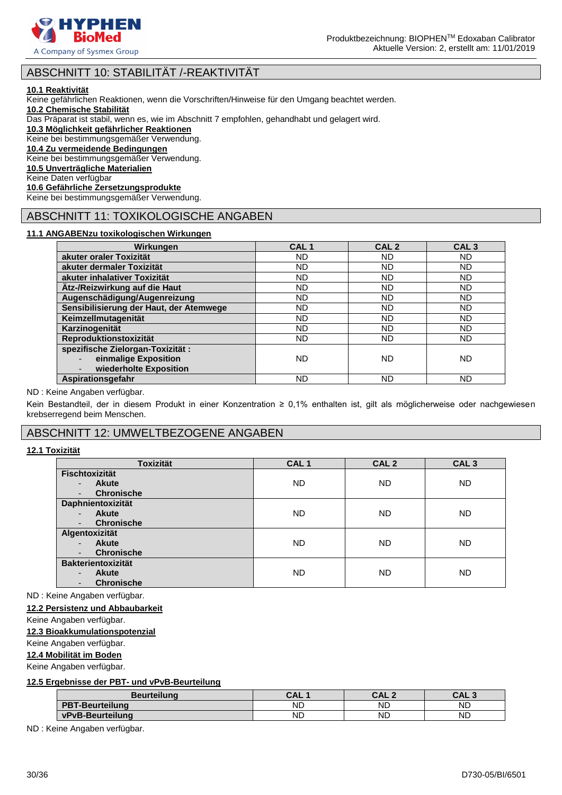

# ABSCHNITT 10: STABILITÄT /-REAKTIVITÄT

#### **10.1 Reaktivität**

Keine gefährlichen Reaktionen, wenn die Vorschriften/Hinweise für den Umgang beachtet werden.

**10.2 Chemische Stabilität**

Das Präparat ist stabil, wenn es, wie im Abschnitt 7 empfohlen, gehandhabt und gelagert wird.

**10.3 Möglichkeit gefährlicher Reaktionen**

Keine bei bestimmungsgemäßer Verwendung.

# **10.4 Zu vermeidende Bedingungen**

Keine bei bestimmungsgemäßer Verwendung.

**10.5 Unverträgliche Materialien**

Keine Daten verfügbar

#### **10.6 Gefährliche Zersetzungsprodukte**

Keine bei bestimmungsgemäßer Verwendung.

# ABSCHNITT 11: TOXIKOLOGISCHE ANGABEN

#### **11.1 ANGABENzu toxikologischen Wirkungen**

| Wirkungen                                                                           | CAL <sub>1</sub> | CAL <sub>2</sub> | CAL <sub>3</sub> |
|-------------------------------------------------------------------------------------|------------------|------------------|------------------|
| akuter oraler Toxizität                                                             | ND               | ND               | <b>ND</b>        |
| akuter dermaler Toxizität                                                           | <b>ND</b>        | <b>ND</b>        | <b>ND</b>        |
| akuter inhalativer Toxizität                                                        | <b>ND</b>        | <b>ND</b>        | <b>ND</b>        |
| Ätz-/Reizwirkung auf die Haut                                                       | <b>ND</b>        | <b>ND</b>        | <b>ND</b>        |
| Augenschädigung/Augenreizung                                                        | <b>ND</b>        | <b>ND</b>        | <b>ND</b>        |
| Sensibilisierung der Haut, der Atemwege                                             | ND               | <b>ND</b>        | <b>ND</b>        |
| Keimzellmutagenität                                                                 | <b>ND</b>        | <b>ND</b>        | <b>ND</b>        |
| Karzinogenität                                                                      | ND               | <b>ND</b>        | ND               |
| Reproduktionstoxizität                                                              | <b>ND</b>        | <b>ND</b>        | ND               |
| spezifische Zielorgan-Toxizität :<br>einmalige Exposition<br>wiederholte Exposition | <b>ND</b>        | ND               | <b>ND</b>        |
| Aspirationsgefahr                                                                   | ND               | <b>ND</b>        | ND               |

#### ND : Keine Angaben verfügbar.

Kein Bestandteil, der in diesem Produkt in einer Konzentration ≥ 0,1% enthalten ist, gilt als möglicherweise oder nachgewiesen krebserregend beim Menschen.

# ABSCHNITT 12: UMWELTBEZOGENE ANGABEN

#### **12.1 Toxizität**

| <b>Toxizität</b>                         | CAL <sub>1</sub> | CAL <sub>2</sub> | CAL <sub>3</sub> |
|------------------------------------------|------------------|------------------|------------------|
| <b>Fischtoxizität</b>                    |                  |                  |                  |
| <b>Akute</b><br>$\overline{\phantom{0}}$ | <b>ND</b>        | <b>ND</b>        | <b>ND</b>        |
| <b>Chronische</b><br>-                   |                  |                  |                  |
| Daphnientoxizität                        |                  |                  |                  |
| <b>Akute</b><br>$\overline{\phantom{0}}$ | <b>ND</b>        | <b>ND</b>        | <b>ND</b>        |
| <b>Chronische</b><br>-                   |                  |                  |                  |
| Algentoxizität                           |                  |                  |                  |
| <b>Akute</b><br>$\overline{\phantom{0}}$ | <b>ND</b>        | <b>ND</b>        | <b>ND</b>        |
| <b>Chronische</b><br>-                   |                  |                  |                  |
| <b>Bakterientoxizität</b>                |                  |                  |                  |
| <b>Akute</b><br>$\overline{\phantom{0}}$ | <b>ND</b>        | <b>ND</b>        | <b>ND</b>        |
| <b>Chronische</b><br>٠                   |                  |                  |                  |

ND : Keine Angaben verfügbar.

### **12.2 Persistenz und Abbaubarkeit**

Keine Angaben verfügbar.

### **12.3 Bioakkumulationspotenzial**

Keine Angaben verfügbar.

### **12.4 Mobilität im Boden**

Keine Angaben verfügbar.

#### **12.5 Ergebnisse der PBT- und vPvB-Beurteilung**

| <b>Beurteilung</b>     | CAL       | CAL.<br>$\sqrt{2}$ | <b>CAL</b> |
|------------------------|-----------|--------------------|------------|
| <b>PBT-Beurteilung</b> | ND        | ΝD                 | <b>ND</b>  |
| vPvB-Beurteilung       | <b>ND</b> | ΝD                 | <b>ND</b>  |

ND : Keine Angaben verfügbar.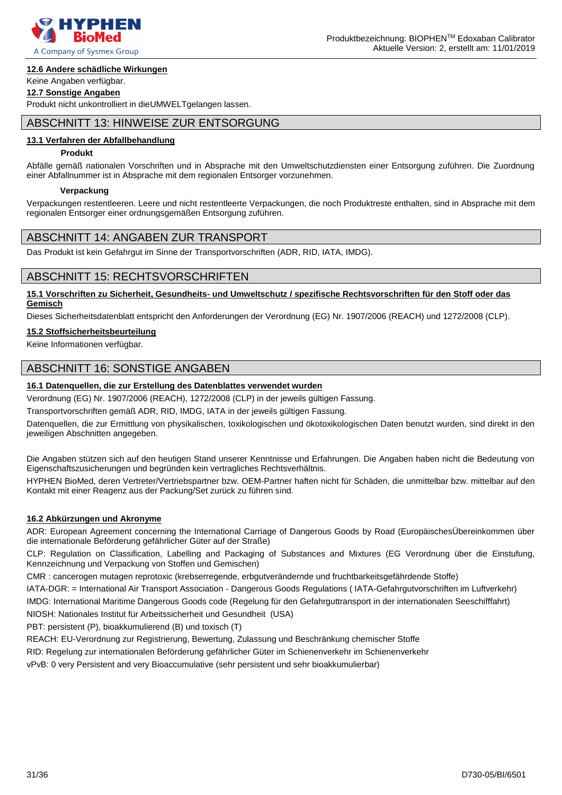

#### **12.6 Andere schädliche Wirkungen**

### Keine Angaben verfügbar.

#### **12.7 Sonstige Angaben**

Produkt nicht unkontrolliert in dieUMWELTgelangen lassen.

# ABSCHNITT 13: HINWEISE ZUR ENTSORGUNG

#### **13.1 Verfahren der Abfallbehandlung**

#### **Produkt**

Abfälle gemäß nationalen Vorschriften und in Absprache mit den Umweltschutzdiensten einer Entsorgung zuführen. Die Zuordnung einer Abfallnummer ist in Absprache mit dem regionalen Entsorger vorzunehmen.

#### **Verpackung**

Verpackungen restentleeren. Leere und nicht restentleerte Verpackungen, die noch Produktreste enthalten, sind in Absprache mit dem regionalen Entsorger einer ordnungsgemäßen Entsorgung zuführen.

# ABSCHNITT 14: ANGABEN ZUR TRANSPORT

Das Produkt ist kein Gefahrgut im Sinne der Transportvorschriften (ADR, RID, IATA, IMDG).

# ABSCHNITT 15: RECHTSVORSCHRIFTEN

#### **15.1 Vorschriften zu Sicherheit, Gesundheits- und Umweltschutz / spezifische Rechtsvorschriften für den Stoff oder das Gemisch**

Dieses Sicherheitsdatenblatt entspricht den Anforderungen der Verordnung (EG) Nr. 1907/2006 (REACH) und 1272/2008 (CLP).

#### **15.2 Stoffsicherheitsbeurteilung**

Keine Informationen verfügbar.

# ABSCHNITT 16: SONSTIGE ANGABEN

#### **16.1 Datenquellen, die zur Erstellung des Datenblattes verwendet wurden**

Verordnung (EG) Nr. 1907/2006 (REACH), 1272/2008 (CLP) in der jeweils gültigen Fassung.

Transportvorschriften gemäß ADR, RID, IMDG, IATA in der jeweils gültigen Fassung.

Datenquellen, die zur Ermittlung von physikalischen, toxikologischen und ökotoxikologischen Daten benutzt wurden, sind direkt in den jeweiligen Abschnitten angegeben.

Die Angaben stützen sich auf den heutigen Stand unserer Kenntnisse und Erfahrungen. Die Angaben haben nicht die Bedeutung von Eigenschaftszusicherungen und begründen kein vertragliches Rechtsverhältnis.

HYPHEN BioMed, deren Vertreter/Vertriebspartner bzw. OEM-Partner haften nicht für Schäden, die unmittelbar bzw. mittelbar auf den Kontakt mit einer Reagenz aus der Packung/Set zurück zu führen sind.

#### **16.2 Abkürzungen und Akronyme**

ADR: European Agreement concerning the International Carriage of Dangerous Goods by Road (EuropäischesÜbereinkommen über die internationale Beförderung gefährlicher Güter auf der Straße)

CLP: Regulation on Classification, Labelling and Packaging of Substances and Mixtures (EG Verordnung über die Einstufung, Kennzeichnung und Verpackung von Stoffen und Gemischen)

CMR : cancerogen mutagen reprotoxic (krebserregende, erbgutverändernde und fruchtbarkeitsgefährdende Stoffe)

IATA-DGR: = International Air Transport Association - Dangerous Goods Regulations ( IATA-Gefahrgutvorschriften im Luftverkehr)

IMDG: International Maritime Dangerous Goods code (Regelung für den Gefahrguttransport in der internationalen Seeschifffahrt)

NIOSH: Nationales Institut für Arbeitssicherheit und Gesundheit (USA)

PBT: persistent (P), bioakkumulierend (B) und toxisch (T)

REACH: EU-Verordnung zur Registrierung, Bewertung, Zulassung und Beschränkung chemischer Stoffe

RID: Regelung zur internationalen Beförderung gefährlicher Güter im Schienenverkehr im Schienenverkehr

vPvB: 0 very Persistent and very Bioaccumulative (sehr persistent und sehr bioakkumulierbar)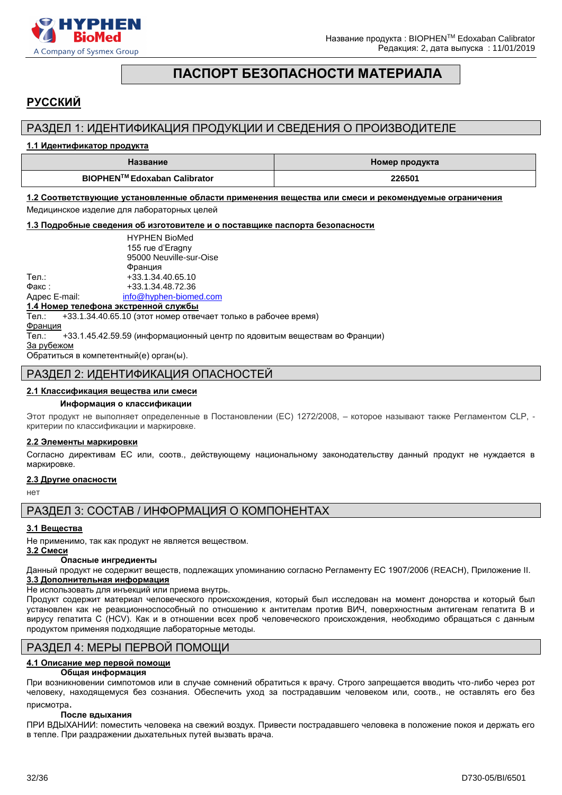

# **ПАСПОРТ БЕЗОПАСНОСТИ МАТЕРИАЛА**

# <span id="page-31-0"></span>**РУССКИЙ**

# РАЗДЕЛ 1: ИДЕНТИФИКАЦИЯ ПРОДУКЦИИ И СВЕДЕНИЯ О ПРОИЗВОДИТЕЛЕ

#### **1.1 Идентификатор продукта**

| Название                     | Номер продукта |
|------------------------------|----------------|
| BIOPHEN™ Edoxaban Calibrator | 226501         |

**1.2 Соответствующие установленные области применения вещества или смеси и рекомендуемые ограничения**  Медицинское изделие для лабораторных целей

**1.3 Подробные сведения об изготовителе и о поставщике паспорта безопасности**

|               | <b>HYPHEN BioMed</b>    |
|---------------|-------------------------|
|               | 155 rue d'Eragny        |
|               | 95000 Neuville-sur-Oise |
|               | Франция                 |
| Тел.:         | +33.1.34.40.65.10       |
| Факс:         | +33.1.34.48.72.36       |
| Адрес E-mail: | info@hyphen-biomed.com  |

#### **1.4 Номер телефона экстренной службы**

Тел.: +33.1.34.40.65.10 (этот номер отвечает только в рабочее время)

Франция

Тел.: +33.1.45.42.59.59 (информационный центр по ядовитым веществам во Франции)

За рубежом

Обратиться в компетентный(е) орган(ы).

### РАЗДЕЛ 2: ИДЕНТИФИКАЦИЯ ОПАСНОСТЕЙ

#### **2.1 Классификация вещества или смеси**

#### **Информация о классификации**

Этот продукт не выполняет определенные в Постановлении (EС) 1272/2008, – которое называют также Регламентом CLP, критерии по классификации и маркировке.

#### **2.2 Элементы маркировки**

Согласно директивам ЕС или, соотв., действующему национальному законодательству данный продукт не нуждается в маркировке.

#### **2.3 Другие опасности**

нет

РАЗДЕЛ 3: СОСТАВ / ИНФОРМАЦИЯ О КОМПОНЕНТАХ

#### **3.1 Вещества**

Не применимо, так как продукт не является веществом.

#### **3.2 Смеси Опасные ингредиенты**

Данный продукт не содержит веществ, подлежащих упоминанию согласно Регламенту ЕС 1907/2006 (REACH), Приложение II. **3.3 Дополнительная информация**

Не использовать для инъекций или приема внутрь.

Продукт содержит материал человеческого происхождения, который был исследован на момент донорства и который был установлен как не реакционноспособный по отношению к антителам против ВИЧ, поверхностным антигенам гепатита B и вирусу гепатита C (HCV). Как и в отношении всех проб человеческого происхождения, необходимо обращаться с данным продуктом применяя подходящие лабораторные методы.

# РАЗДЕЛ 4: МЕРЫ ПЕРВОЙ ПОМОЩИ

# **4.1 Описание мер первой помощи**

#### **Общая информация**

При возникновении cимпотомов или в случае сомнений обратиться к врачу. Строго запрещается вводить что-либо через рот человеку, находящемуся без сознания. Обеспечить уход за пострадавшим человеком или, соотв., не оставлять его без присмотра.

#### **После вдыхания**

ПРИ ВДЫХАНИИ: поместить человека на свежий воздух. Привести пострадавшего человека в положение покоя и держать его в тепле. При раздражении дыхательных путей вызвать врача.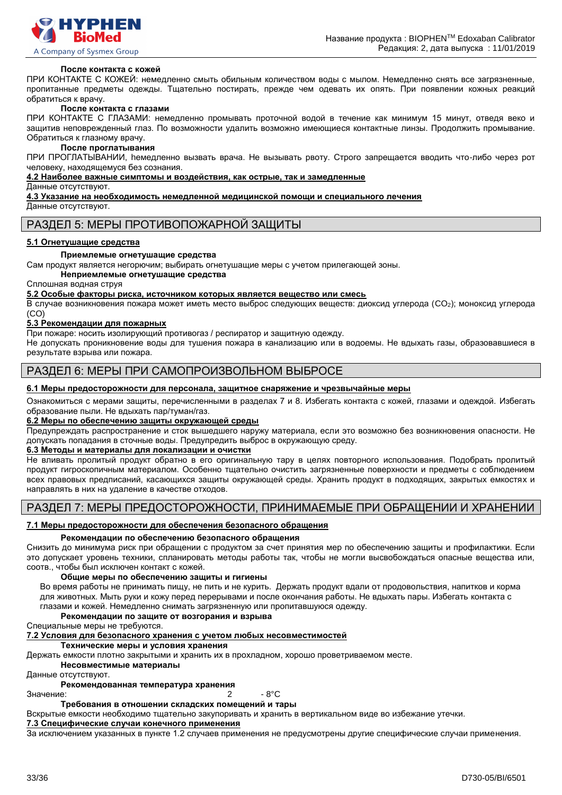

#### **После контакта с кожей**

ПРИ КОНТАКТЕ С КОЖЕЙ: немедленно смыть обильным количеством воды с мылом. Немедленно снять все загрязненные, пропитанные предметы одежды. Тщательно постирать, прежде чем одевать их опять. При появлении кожных реакций обратиться к врачу.

#### **После контакта с глазами**

ПРИ КОНТАКТЕ С ГЛАЗАМИ: немедленно промывать проточной водой в течение как минимум 15 минут, отведя веко и защитив неповрежденный глаз. По возможности удалить возможно имеющиеся контактные линзы. Продолжить промывание. Обратиться к глазному врачу.

#### **После проглатывания**

ПРИ ПРОГЛАТЫВАНИИ, hемедленно вызвать врача. Не вызывать рвоту. Строго запрещается вводить что-либо через рот человеку, находящемуся без сознания.

#### **4.2 Наиболее важные симптомы и воздействия, как острые, так и замедленные**

Данные отсутствуют.

**4.3 Указание на необходимость немедленной медицинской помощи и специального лечения**

Данные отсутствуют.

#### РАЗДЕЛ 5: МЕРЫ ПРОТИВОПОЖАРНОЙ ЗАЩИТЫ

#### **5.1 Огнетушащие средства**

#### **Приемлемые огнетушащие средства**

Сам продукт является негорючим; выбирать огнетушащие меры с учетом прилегающей зоны.

**Неприемлемые огнетушащие средства**

Сплошная водная струя

**5.2 Особые факторы риска, источником которых является вещество или смесь**

В случае возникновения пожара может иметь место выброс следующих веществ: диоксид углерода (CO2); моноксид углерода (CO)

#### **5.3 Рекомендации для пожарных**

При пожаре: носить изолирующий противогаз / респиратор и защитную одежду.

Не допускать проникновение воды для тушения пожара в канализацию или в водоемы. Не вдыхать газы, образовавшиеся в результате взрыва или пожара.

# РАЗДЕЛ 6: МЕРЫ ПРИ САМОПРОИЗВОЛЬНОМ ВЫБРОСЕ

#### **6.1 Меры предосторожности для персонала, защитное снаряжение и чрезвычайные меры**

Ознакомиться с мерами защиты, перечисленными в разделах 7 и 8. Избегать контакта с кожей, глазами и одеждой. Избегать образование пыли. Не вдыхать пар/туман/газ.

#### **6.2 Меры по обеспечению защиты окружающей среды**

Предупреждать распространение и сток вышедшего наружу материала, если это возможно без возникновения опасности. Не допускать попадания в сточные воды. Предупредить выброс в окружающую среду.

#### **6.3 Методы и материалы для локализации и очистки**

Не вливать пролитый продукт обратно в его оригинальную тару в целях повторного использования. Подобрать пролитый продукт гигроскопичным материалом. Особенно тщательно очистить загрязненные поверхности и предметы с соблюдением всех правовых предписаний, касающихся защиты окружающей среды. Хранить продукт в подходящих, закрытых емкостях и направлять в них на удаление в качестве отходов.

# РАЗДЕЛ 7: МЕРЫ ПРЕДОСТОРОЖНОСТИ, ПРИНИМАЕМЫЕ ПРИ ОБРАЩЕНИИ И ХРАНЕНИИ

#### **7.1 Меры предосторожности для обеспечения безопасного обращения**

#### **Рекомендации по обеспечению безопасного обращения**

Снизить до минимума риск при обращении с продуктом за счет принятия мер по обеспечению защиты и профилактики. Если это допускает уровень техники, спланировать методы работы так, чтобы не могли высвобождаться опасные вещества или, соотв., чтобы был исключен контакт с кожей.

#### **Общие меры по обеспечению защиты и гигиены**

Во время работы не принимать пищу, не пить и не курить. Держать продукт вдали от продовольствия, напитков и корма для животных. Мыть руки и кожу перед перерывами и после окончания работы. Не вдыхать пары. Избегать контакта с глазами и кожей. Немедленно снимать загрязненную или пропитавшуюся одежду.

#### **Рекомендации по защите от возгорания и взрыва**

Специальные меры не требуются.

#### **7.2 Условия для безопасного хранения с учетом любых несовместимостей**

**Технические меры и условия хранения**

Держать емкости плотно закрытыми и хранить их в прохладном, хорошо проветриваемом месте.

**Несовместимые материалы**

Данные отсутствуют.

#### **Рекомендованная температура хранения**

Значение: 2 - 8°C

#### **Требования в отношении складских помещений и тары**

Вскрытые емкости необходимо тщательно закупоривать и хранить в вертикальном виде во избежание утечки.

### **7.3 Специфические случаи конечного применения**

За исключением указанных в пункте 1.2 случаев применения не предусмотрены другие специфические случаи применения.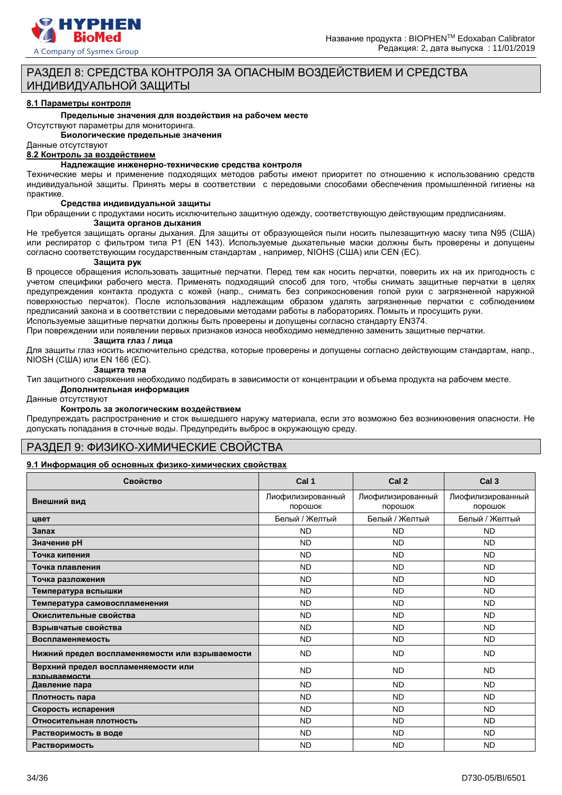

# РАЗДЕЛ 8: СРЕДСТВА КОНТРОЛЯ ЗА ОПАСНЫМ ВОЗДЕЙСТВИЕМ И СРЕДСТВА ИНДИВИДУАЛЬНОЙ ЗАЩИТЫ

#### **8.1 Параметры контроля**

**Предельные значения для воздействия на рабочем месте**

Отсутствуют параметры для мониторинга.

**Биологические предельные значения**

#### Данные отсутствуют

**8.2 Контроль за воздействием**

#### **Надлежащие инженерно-технические средства контроля**

Технические меры и применение подходящих методов работы имеют приоритет по отношению к использованию средств индивидуальной защиты. Принять меры в соответствии с передовыми способами обеспечения промышленной гигиены на практике.

#### **Средства индивидуальной защиты**

При обращении с продуктами носить исключительно защитную одежду, соответствующую действующим предписаниям. **Защита органов дыхания**

Не требуется защищать органы дыхания. Для защиты от образующейся пыли носить пылезащитную маску типа N95 (США) или респиратор с фильтром типа P1 (EN 143). Используемые дыхательные маски должны быть проверены и допущены согласно соответствующим государственным стандартам , например, NIOHS (США) или CEN (EС).

#### **Защита рук**

В процессе обращения использовать защитные перчатки. Перед тем как носить перчатки, поверить их на их пригодность с учетом специфики рабочего места. Применять подходящий способ для того, чтобы снимать защитные перчатки в целях предупреждения контакта продукта с кожей (напр., снимать без соприкосновения голой руки с загрязненной наружной поверхностью перчаток). После использования надлежащим образом удалять загрязненные перчатки с соблюдением предписаний закона и в соответствии с передовыми методами работы в лабораториях. Помыть и просущить руки.

Используемые защитные перчатки должны быть проверены и допущены согласно стандарту EN374. При повреждении или появлении первых признаков износа необходимо немедленно заменить защитные перчатки.

#### **Защита глаз / лица**

Для защиты глаз носить исключительно средства, которые проверены и допущены согласно действующим стандартам, напр., NIOSH (США) или EN 166 (EС).

#### **Защита тела**

Тип защитного снаряжения необходимо подбирать в зависимости от концентрации и объема продукта на рабочем месте.

#### **Дополнительная информация**

Данные отсутствуют

#### **Контроль за экологическим воздействием**

Предупреждать распространение и сток вышедшего наружу материала, если это возможно без возникновения опасности. Не допускать попадания в сточные воды. Предупредить выброс в окружающую среду.

#### РАЗДЕЛ 9: ФИЗИКО-ХИМИЧЕСКИЕ СВОЙСТВА

#### **9.1 Информация об основных физико-химических свойствах**

| Свойство                                            | Cal 1                        | Cal <sub>2</sub>             | Cal <sub>3</sub>             |
|-----------------------------------------------------|------------------------------|------------------------------|------------------------------|
| Внешний вид                                         | Лиофилизированный<br>порошок | Лиофилизированный<br>порошок | Лиофилизированный<br>порошок |
| цвет                                                | Белый / Желтый               | Белый / Желтый               | Белый / Желтый               |
| Запах                                               | <b>ND</b>                    | <b>ND</b>                    | <b>ND</b>                    |
| Значение рН                                         | <b>ND</b>                    | <b>ND</b>                    | <b>ND</b>                    |
| Точка кипения                                       | <b>ND</b>                    | <b>ND</b>                    | <b>ND</b>                    |
| Точка плавления                                     | <b>ND</b>                    | <b>ND</b>                    | <b>ND</b>                    |
| Точка разложения                                    | <b>ND</b>                    | <b>ND</b>                    | <b>ND</b>                    |
| Температура вспышки                                 | <b>ND</b>                    | <b>ND</b>                    | <b>ND</b>                    |
| Температура самовоспламенения                       | <b>ND</b>                    | <b>ND</b>                    | <b>ND</b>                    |
| Окислительные свойства                              | <b>ND</b>                    | <b>ND</b>                    | <b>ND</b>                    |
| Взрывчатые свойства                                 | <b>ND</b>                    | <b>ND</b>                    | <b>ND</b>                    |
| Воспламеняемость                                    | <b>ND</b>                    | <b>ND</b>                    | <b>ND</b>                    |
| Нижний предел воспламеняемости или взрываемости     | <b>ND</b>                    | <b>ND</b>                    | <b>ND</b>                    |
| Верхний предел воспламеняемости или<br>взоываемости | <b>ND</b>                    | <b>ND</b>                    | <b>ND</b>                    |
| Давление пара                                       | <b>ND</b>                    | <b>ND</b>                    | <b>ND</b>                    |
| Плотность пара                                      | <b>ND</b>                    | <b>ND</b>                    | <b>ND</b>                    |
| Скорость испарения                                  | <b>ND</b>                    | <b>ND</b>                    | <b>ND</b>                    |
| Относительная плотность                             | <b>ND</b>                    | <b>ND</b>                    | <b>ND</b>                    |
| Растворимость в воде                                | <b>ND</b>                    | <b>ND</b>                    | <b>ND</b>                    |
| Растворимость                                       | <b>ND</b>                    | <b>ND</b>                    | <b>ND</b>                    |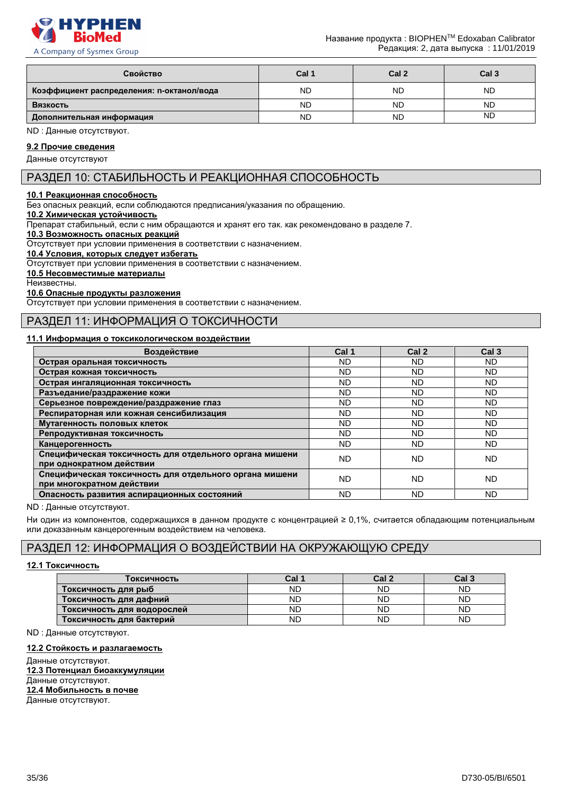

A Company of Sysmex Group

| Свойство                                  | Cal 1     | Cal <sub>2</sub> | Cal <sub>3</sub> |
|-------------------------------------------|-----------|------------------|------------------|
| Коэффициент распределения: n-октанол/вода | <b>ND</b> | <b>ND</b>        | <b>ND</b>        |
| Вязкость                                  | <b>ND</b> | <b>ND</b>        | <b>ND</b>        |
| Дополнительная информация                 | ND        | <b>ND</b>        | <b>ND</b>        |

ND : Данные отсутствуют.

**9.2 Прочие сведения**

# Данные отсутствуют

# РАЗДЕЛ 10: СТАБИЛЬНОСТЬ И РЕАКЦИОННАЯ СПОСОБНОСТЬ

#### **10.1 Реакционная способность**

Без опасных реакций, если соблюдаются предписания/указания по обращению.

#### **10.2 Химическая устойчивость**

Препарат стабильный, если с ним обращаются и хранят его так. как рекомендовано в разделе 7.

#### **10.3 Возможность опасных реакций**

Отсутствует при условии применения в соответствии с назначением.

**10.4 Условия, которых следует избегать**

Отсутствует при условии применения в соответствии с назначением.

#### **10.5 Несовместимые материалы**

Неизвестны.

#### **10.6 Опасные продукты разложения**

Отсутствует при условии применения в соответствии с назначением.

# РАЗДЕЛ 11: ИНФОРМАЦИЯ О ТОКСИЧНОСТИ

#### **11.1 Информация о токсикологическом воздействии**

| Воздействие                                                                         | Cal 1     | Cal <sub>2</sub> | Cal <sub>3</sub> |
|-------------------------------------------------------------------------------------|-----------|------------------|------------------|
| Острая оральная токсичность                                                         | ND.       | ND.              | ND.              |
| Острая кожная токсичность                                                           | ND.       | <b>ND</b>        | ND.              |
| Острая ингаляционная токсичность                                                    | ND.       | <b>ND</b>        | ND.              |
| Разъедание/раздражение кожи                                                         | ND.       | <b>ND</b>        | <b>ND</b>        |
| Серьезное повреждение/раздражение глаз                                              | ND.       | <b>ND</b>        | <b>ND</b>        |
| Респираторная или кожная сенсибилизация                                             | ND.       | <b>ND</b>        | <b>ND</b>        |
| Мутагенность половых клеток                                                         | ND.       | ND               | ND.              |
| Репродуктивная токсичность                                                          | ND.       | <b>ND</b>        | <b>ND</b>        |
| Канцерогенность                                                                     | ND.       | ND.              | ND.              |
| Специфическая токсичность для отдельного органа мишени<br>при однократном действии  | ND.       | <b>ND</b>        | <b>ND</b>        |
| Специфическая токсичность для отдельного органа мишени<br>при многократном действии | ND.       | ND.              | <b>ND</b>        |
| Опасность развития аспирационных состояний                                          | <b>ND</b> | ND               | <b>ND</b>        |

ND : Данные отсутствуют.

Ни один из компонентов, содержащихся в данном продукте с концентрацией ≥ 0,1%, считается обладающим потенциальным или доказанным канцерогенным воздействием на человека.

# РАЗДЕЛ 12: ИНФОРМАЦИЯ О ВОЗДЕЙСТВИИ НА ОКРУЖАЮЩУЮ СРЕДУ

#### **12.1 Токсичность**

| Токсичность                | Cal 1 | Cal 2     | Cal 3 |
|----------------------------|-------|-----------|-------|
| Токсичность для рыб        | ND    | <b>ND</b> | ND    |
| Токсичность для дафний     | ND    | <b>ND</b> | ND    |
| Токсичность для водорослей | ND    | <b>ND</b> | ND    |
| Токсичность для бактерий   | ND    | <b>ND</b> | ND    |

ND : Данные отсутствуют.

#### **12.2 Стойкость и разлагаемость**

Данные отсутствуют. **12.3 Потенциал биоаккумуляции** Данные отсутствуют. **12.4 Мобильность в почве** Данные отсутствуют.